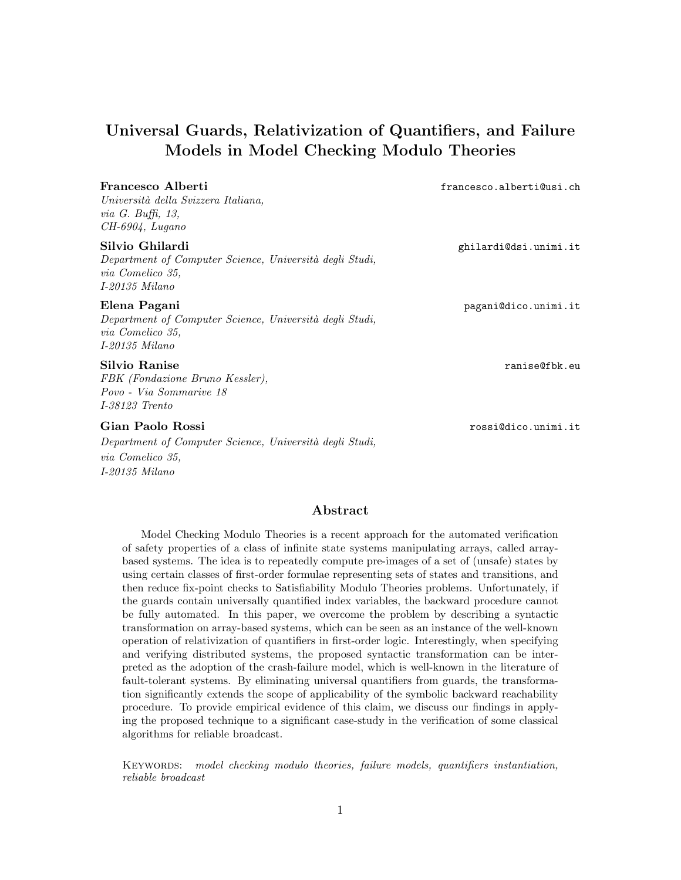# Universal Guards, Relativization of Quantifiers, and Failure Models in Model Checking Modulo Theories

| Francesco Alberti<br>Università della Svizzera Italiana,<br><i>via G. Buffi</i> , 13,<br>$CH-6904$ , Lugano         | francesco.albertiQusi.ch |
|---------------------------------------------------------------------------------------------------------------------|--------------------------|
| Silvio Ghilardi<br>Department of Computer Science, Università degli Studi,<br>via Comelico 35.<br>$I$ -20135 Milano | ghilardi@dsi.unimi.it    |
| Elena Pagani<br>Department of Computer Science, Università degli Studi,<br>via Comelico 35,<br>$I$ -20135 Milano    | pagani@dico.unimi.it     |
| Silvio Ranise<br>FBK (Fondazione Bruno Kessler),<br>Povo - Via Sommarive 18<br>$I-38123$ Trento                     | ranise@fbk.eu            |
| Gian Paolo Rossi                                                                                                    | rossi@dico.unimi.it      |

Department of Computer Science, Università degli Studi, via Comelico 35, I-20135 Milano

#### Abstract

Model Checking Modulo Theories is a recent approach for the automated verification of safety properties of a class of infinite state systems manipulating arrays, called arraybased systems. The idea is to repeatedly compute pre-images of a set of (unsafe) states by using certain classes of first-order formulae representing sets of states and transitions, and then reduce fix-point checks to Satisfiability Modulo Theories problems. Unfortunately, if the guards contain universally quantified index variables, the backward procedure cannot be fully automated. In this paper, we overcome the problem by describing a syntactic transformation on array-based systems, which can be seen as an instance of the well-known operation of relativization of quantifiers in first-order logic. Interestingly, when specifying and verifying distributed systems, the proposed syntactic transformation can be interpreted as the adoption of the crash-failure model, which is well-known in the literature of fault-tolerant systems. By eliminating universal quantifiers from guards, the transformation significantly extends the scope of applicability of the symbolic backward reachability procedure. To provide empirical evidence of this claim, we discuss our findings in applying the proposed technique to a significant case-study in the verification of some classical algorithms for reliable broadcast.

KEYWORDS: model checking modulo theories, failure models, quantifiers instantiation, reliable broadcast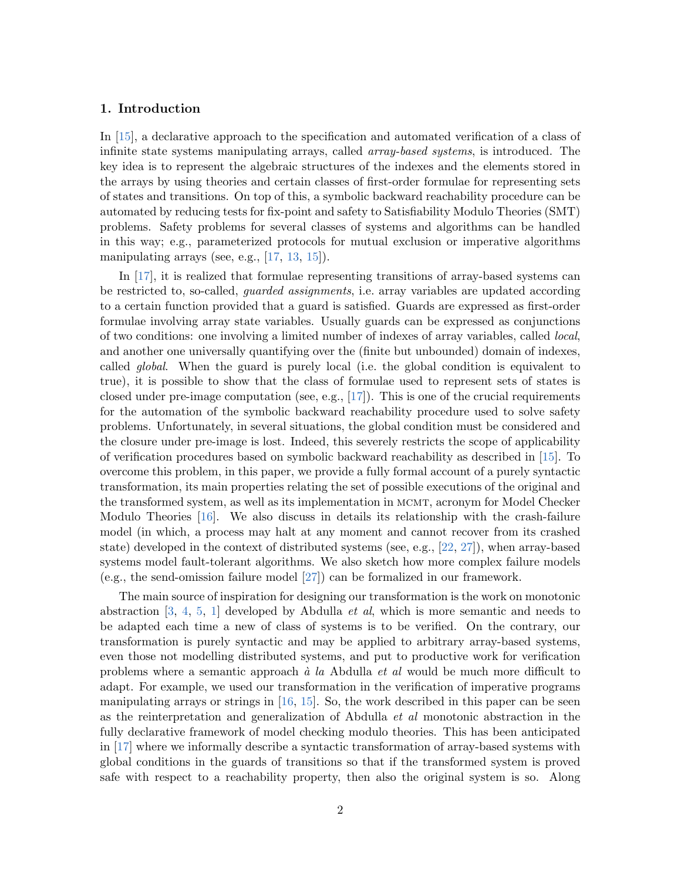### 1. Introduction

In [\[15\]](#page-31-0), a declarative approach to the specification and automated verification of a class of infinite state systems manipulating arrays, called array-based systems, is introduced. The key idea is to represent the algebraic structures of the indexes and the elements stored in the arrays by using theories and certain classes of first-order formulae for representing sets of states and transitions. On top of this, a symbolic backward reachability procedure can be automated by reducing tests for fix-point and safety to Satisfiability Modulo Theories (SMT) problems. Safety problems for several classes of systems and algorithms can be handled in this way; e.g., parameterized protocols for mutual exclusion or imperative algorithms manipulating arrays (see, e.g., [\[17,](#page-31-1) [13,](#page-31-2) [15\]](#page-31-0)).

In [\[17\]](#page-31-1), it is realized that formulae representing transitions of array-based systems can be restricted to, so-called, guarded assignments, i.e. array variables are updated according to a certain function provided that a guard is satisfied. Guards are expressed as first-order formulae involving array state variables. Usually guards can be expressed as conjunctions of two conditions: one involving a limited number of indexes of array variables, called local, and another one universally quantifying over the (finite but unbounded) domain of indexes, called global. When the guard is purely local (i.e. the global condition is equivalent to true), it is possible to show that the class of formulae used to represent sets of states is closed under pre-image computation (see, e.g.,  $[17]$ ). This is one of the crucial requirements for the automation of the symbolic backward reachability procedure used to solve safety problems. Unfortunately, in several situations, the global condition must be considered and the closure under pre-image is lost. Indeed, this severely restricts the scope of applicability of verification procedures based on symbolic backward reachability as described in [\[15\]](#page-31-0). To overcome this problem, in this paper, we provide a fully formal account of a purely syntactic transformation, its main properties relating the set of possible executions of the original and the transformed system, as well as its implementation in MCMT, acronym for Model Checker Modulo Theories [\[16\]](#page-31-3). We also discuss in details its relationship with the crash-failure model (in which, a process may halt at any moment and cannot recover from its crashed state) developed in the context of distributed systems (see, e.g., [\[22,](#page-31-4) [27\]](#page-32-0)), when array-based systems model fault-tolerant algorithms. We also sketch how more complex failure models (e.g., the send-omission failure model [\[27\]](#page-32-0)) can be formalized in our framework.

The main source of inspiration for designing our transformation is the work on monotonic abstraction  $[3, 4, 5, 1]$  $[3, 4, 5, 1]$  $[3, 4, 5, 1]$  $[3, 4, 5, 1]$  $[3, 4, 5, 1]$  $[3, 4, 5, 1]$  $[3, 4, 5, 1]$  developed by Abdulla *et al*, which is more semantic and needs to be adapted each time a new of class of systems is to be verified. On the contrary, our transformation is purely syntactic and may be applied to arbitrary array-based systems, even those not modelling distributed systems, and put to productive work for verification problems where a semantic approach  $\dot{a}$  la Abdulla et al would be much more difficult to adapt. For example, we used our transformation in the verification of imperative programs manipulating arrays or strings in  $[16, 15]$  $[16, 15]$  $[16, 15]$ . So, the work described in this paper can be seen as the reinterpretation and generalization of Abdulla et al monotonic abstraction in the fully declarative framework of model checking modulo theories. This has been anticipated in [\[17\]](#page-31-1) where we informally describe a syntactic transformation of array-based systems with global conditions in the guards of transitions so that if the transformed system is proved safe with respect to a reachability property, then also the original system is so. Along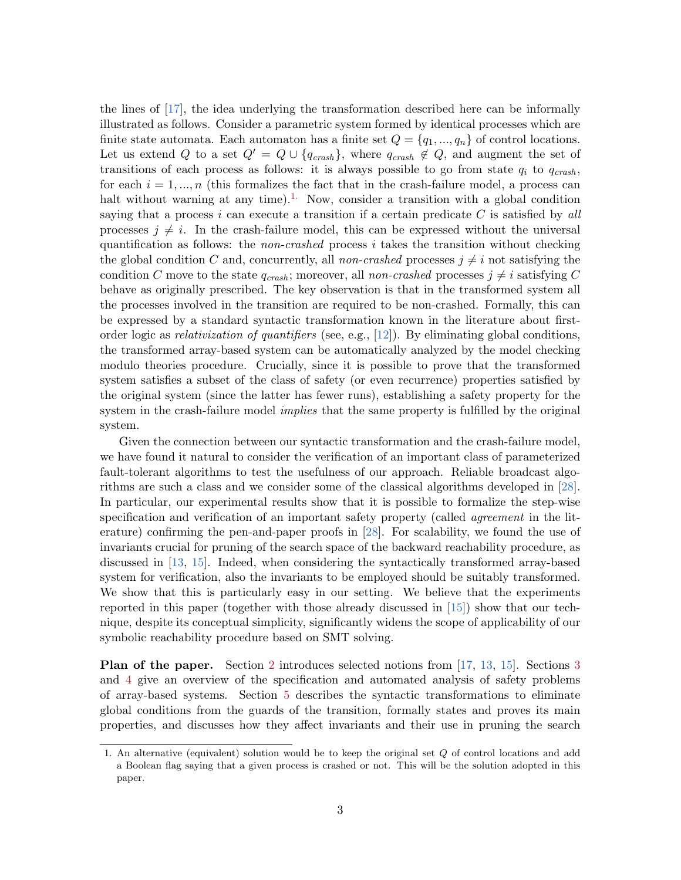the lines of [\[17\]](#page-31-1), the idea underlying the transformation described here can be informally illustrated as follows. Consider a parametric system formed by identical processes which are finite state automata. Each automaton has a finite set  $Q = \{q_1, ..., q_n\}$  of control locations. Let us extend Q to a set  $Q' = Q \cup \{q_{crash}\}\$ , where  $q_{crash} \notin Q$ , and augment the set of transitions of each process as follows: it is always possible to go from state  $q_i$  to  $q_{crash}$ , for each  $i = 1, ..., n$  (this formalizes the fact that in the crash-failure model, a process can halt without warning at any time).<sup>[1.](#page-2-0)</sup> Now, consider a transition with a global condition saying that a process i can execute a transition if a certain predicate C is satisfied by all processes  $j \neq i$ . In the crash-failure model, this can be expressed without the universal quantification as follows: the non-crashed process i takes the transition without checking the global condition C and, concurrently, all non-crashed processes  $j \neq i$  not satisfying the condition C move to the state  $q_{crash}$ ; moreover, all non-crashed processes  $j \neq i$  satisfying C behave as originally prescribed. The key observation is that in the transformed system all the processes involved in the transition are required to be non-crashed. Formally, this can be expressed by a standard syntactic transformation known in the literature about firstorder logic as *relativization of quantifiers* (see, e.g.,  $[12]$ ). By eliminating global conditions, the transformed array-based system can be automatically analyzed by the model checking modulo theories procedure. Crucially, since it is possible to prove that the transformed system satisfies a subset of the class of safety (or even recurrence) properties satisfied by the original system (since the latter has fewer runs), establishing a safety property for the system in the crash-failure model *implies* that the same property is fulfilled by the original system.

Given the connection between our syntactic transformation and the crash-failure model, we have found it natural to consider the verification of an important class of parameterized fault-tolerant algorithms to test the usefulness of our approach. Reliable broadcast algorithms are such a class and we consider some of the classical algorithms developed in [\[28\]](#page-32-1). In particular, our experimental results show that it is possible to formalize the step-wise specification and verification of an important safety property (called *agreement* in the literature) confirming the pen-and-paper proofs in [\[28\]](#page-32-1). For scalability, we found the use of invariants crucial for pruning of the search space of the backward reachability procedure, as discussed in [\[13,](#page-31-2) [15\]](#page-31-0). Indeed, when considering the syntactically transformed array-based system for verification, also the invariants to be employed should be suitably transformed. We show that this is particularly easy in our setting. We believe that the experiments reported in this paper (together with those already discussed in [\[15\]](#page-31-0)) show that our technique, despite its conceptual simplicity, significantly widens the scope of applicability of our symbolic reachability procedure based on SMT solving.

Plan of the paper. Section [2](#page-3-0) introduces selected notions from [\[17,](#page-31-1) [13,](#page-31-2) [15\]](#page-31-0). Sections [3](#page-4-0) and [4](#page-6-0) give an overview of the specification and automated analysis of safety problems of array-based systems. Section [5](#page-10-0) describes the syntactic transformations to eliminate global conditions from the guards of the transition, formally states and proves its main properties, and discusses how they affect invariants and their use in pruning the search

<span id="page-2-0"></span><sup>1.</sup> An alternative (equivalent) solution would be to keep the original set Q of control locations and add a Boolean flag saying that a given process is crashed or not. This will be the solution adopted in this paper.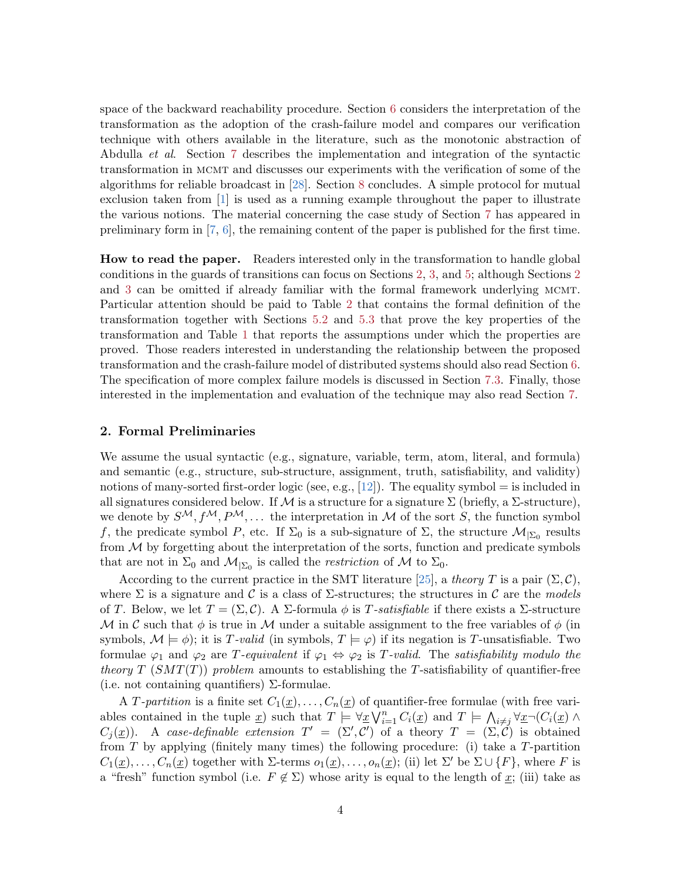space of the backward reachability procedure. Section [6](#page-19-0) considers the interpretation of the transformation as the adoption of the crash-failure model and compares our verification technique with others available in the literature, such as the monotonic abstraction of Abdulla et al. Section [7](#page-21-0) describes the implementation and integration of the syntactic transformation in mcmt and discusses our experiments with the verification of some of the algorithms for reliable broadcast in [\[28\]](#page-32-1). Section [8](#page-30-4) concludes. A simple protocol for mutual exclusion taken from [\[1\]](#page-30-3) is used as a running example throughout the paper to illustrate the various notions. The material concerning the case study of Section [7](#page-21-0) has appeared in preliminary form in [\[7,](#page-31-6) [6\]](#page-30-5), the remaining content of the paper is published for the first time.

How to read the paper. Readers interested only in the transformation to handle global conditions in the guards of transitions can focus on Sections [2,](#page-3-0) [3,](#page-4-0) and [5;](#page-10-0) although Sections [2](#page-3-0) and [3](#page-4-0) can be omitted if already familiar with the formal framework underlying mcmt. Particular attention should be paid to Table [2](#page-11-0) that contains the formal definition of the transformation together with Sections [5.2](#page-16-0) and [5.3](#page-17-0) that prove the key properties of the transformation and Table [1](#page-8-0) that reports the assumptions under which the properties are proved. Those readers interested in understanding the relationship between the proposed transformation and the crash-failure model of distributed systems should also read Section [6.](#page-19-0) The specification of more complex failure models is discussed in Section [7.3.](#page-25-0) Finally, those interested in the implementation and evaluation of the technique may also read Section [7.](#page-21-0)

### <span id="page-3-0"></span>2. Formal Preliminaries

We assume the usual syntactic (e.g., signature, variable, term, atom, literal, and formula) and semantic (e.g., structure, sub-structure, assignment, truth, satisfiability, and validity) notions of many-sorted first-order logic (see, e.g., [\[12\]](#page-31-5)). The equality symbol = is included in all signatures considered below. If  $M$  is a structure for a signature  $\Sigma$  (briefly, a  $\Sigma$ -structure), we denote by  $S^{\mathcal{M}}, f^{\mathcal{M}}, P^{\mathcal{M}}, \dots$  the interpretation in M of the sort S, the function symbol f, the predicate symbol P, etc. If  $\Sigma_0$  is a sub-signature of  $\Sigma$ , the structure  $\mathcal{M}_{|\Sigma_0}$  results from  $M$  by forgetting about the interpretation of the sorts, function and predicate symbols that are not in  $\Sigma_0$  and  $\mathcal{M}_{|\Sigma_0}$  is called the *restriction* of  $\mathcal M$  to  $\Sigma_0$ .

According to the current practice in the SMT literature [\[25\]](#page-32-2), a theory T is a pair  $(\Sigma, \mathcal{C})$ , where  $\Sigma$  is a signature and C is a class of  $\Sigma$ -structures; the structures in C are the models of T. Below, we let  $T = (\Sigma, \mathcal{C})$ . A  $\Sigma$ -formula  $\phi$  is T-satisfiable if there exists a  $\Sigma$ -structure M in C such that  $\phi$  is true in M under a suitable assignment to the free variables of  $\phi$  (in symbols,  $\mathcal{M} \models \phi$ ); it is T-valid (in symbols,  $T \models \varphi$ ) if its negation is T-unsatisfiable. Two formulae  $\varphi_1$  and  $\varphi_2$  are T-equivalent if  $\varphi_1 \Leftrightarrow \varphi_2$  is T-valid. The satisfiability modulo the theory  $T(SMT(T))$  problem amounts to establishing the T-satisfiability of quantifier-free (i.e. not containing quantifiers)  $\Sigma$ -formulae.

A T-partition is a finite set  $C_1(\underline{x}), \ldots, C_n(\underline{x})$  of quantifier-free formulae (with free variables contained in the tuple  $\underline{x}$ ) such that  $T \models \forall \underline{x} \bigvee_{i=1}^{n} C_i(\underline{x})$  and  $T \models \bigwedge_{i \neq j} \forall \underline{x} \neg (C_i(\underline{x}) \land \neg C_i(\underline{x}))$  $C_j(\underline{x})$ ). A case-definable extension  $T' = (\Sigma', \mathcal{C}')$  of a theory  $T = (\Sigma, \mathcal{C}')$  is obtained from  $T$  by applying (finitely many times) the following procedure: (i) take a  $T$ -partition  $C_1(\underline{x}), \ldots, C_n(\underline{x})$  together with  $\Sigma$ -terms  $o_1(\underline{x}), \ldots, o_n(\underline{x})$ ; (ii) let  $\Sigma'$  be  $\Sigma \cup \{F\}$ , where F is a "fresh" function symbol (i.e.  $F \notin \Sigma$ ) whose arity is equal to the length of x; (iii) take as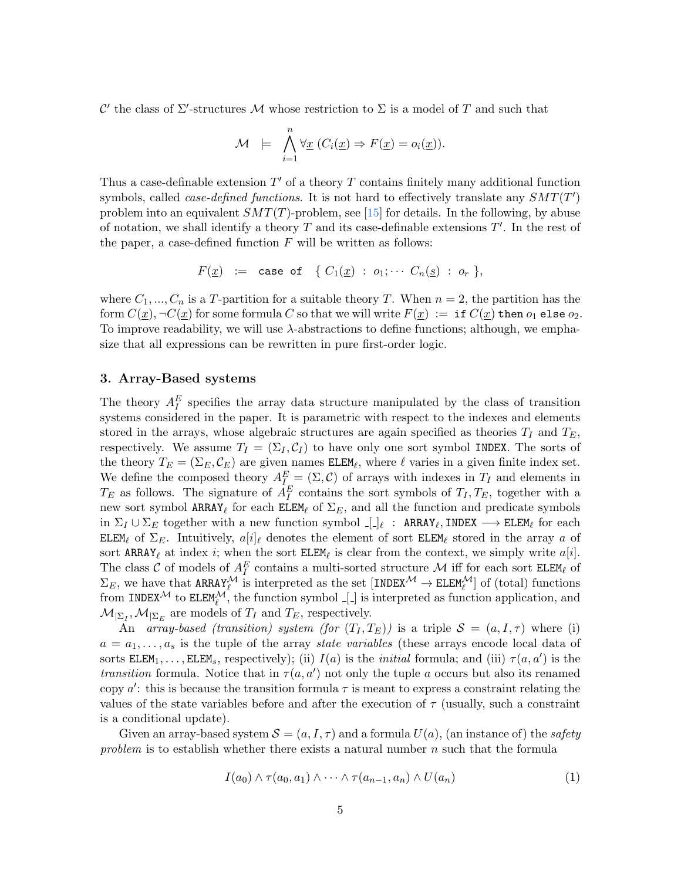C' the class of  $\Sigma'$ -structures M whose restriction to  $\Sigma$  is a model of T and such that

$$
\mathcal{M} \models \bigwedge_{i=1}^{n} \forall \underline{x} \ (C_i(\underline{x}) \Rightarrow F(\underline{x}) = o_i(\underline{x})).
$$

Thus a case-definable extension  $T'$  of a theory T contains finitely many additional function symbols, called *case-defined functions*. It is not hard to effectively translate any  $SMT(T')$ problem into an equivalent  $SMT(T)$ -problem, see [\[15\]](#page-31-0) for details. In the following, by abuse of notation, we shall identify a theory  $T$  and its case-definable extensions  $T'$ . In the rest of the paper, a case-defined function  $F$  will be written as follows:

$$
F(\underline{x}) \ \ := \ \ \text{case of} \quad \{ \ C_1(\underline{x}) \ : \ o_1; \cdots \ C_n(\underline{s}) \ : \ o_r \ \},
$$

where  $C_1, ..., C_n$  is a T-partition for a suitable theory T. When  $n = 2$ , the partition has the form  $C(x)$ ,  $\neg C(x)$  for some formula C so that we will write  $F(x) := \text{if } C(x)$  then  $o_1$  else  $o_2$ . To improve readability, we will use  $\lambda$ -abstractions to define functions; although, we emphasize that all expressions can be rewritten in pure first-order logic.

### <span id="page-4-0"></span>3. Array-Based systems

The theory  $A_I^E$  specifies the array data structure manipulated by the class of transition systems considered in the paper. It is parametric with respect to the indexes and elements stored in the arrays, whose algebraic structures are again specified as theories  $T_I$  and  $T_E$ , respectively. We assume  $T_I = (\Sigma_I, C_I)$  to have only one sort symbol INDEX. The sorts of the theory  $T_E = (\Sigma_E, \mathcal{C}_E)$  are given names ELEM<sub> $\ell$ </sub>, where  $\ell$  varies in a given finite index set. We define the composed theory  $A_{I}^{E} = (\Sigma, C)$  of arrays with indexes in  $T_I$  and elements in  $T_E$  as follows. The signature of  $A_I^E$  contains the sort symbols of  $T_I, T_E$ , together with a new sort symbol  $ARRAY_\ell$  for each  $ELEM_\ell$  of  $\Sigma_E$ , and all the function and predicate symbols in  $\Sigma_I \cup \Sigma_E$  together with a new function symbol  $\Box[\ ]_\ell$ : ARRAY<sub> $\ell$ </sub>, INDEX  $\longrightarrow$  ELEM<sub> $\ell$ </sub> for each ELEM<sub>l</sub> of  $\Sigma_F$ . Intuitively,  $a[i]$  denotes the element of sort ELEM<sub>l</sub> stored in the array a of sort  $ARRAY_\ell$  at index i; when the sort  $ELEM_\ell$  is clear from the context, we simply write  $a[i]$ . The class C of models of  $A_I^E$  contains a multi-sorted structure M iff for each sort  $\text{ELEM}_{\ell}$  of  $\Sigma_E$ , we have that  $ARRAY_{\ell}^{\mathcal{M}}$  is interpreted as the set  $[INDEX^{\mathcal{M}} \to ELEM_{\ell}^{\mathcal{M}}]$  of (total) functions from INDEX<sup>M</sup> to ELEM<sup>M</sup>, the function symbol  $[-]$  is interpreted as function application, and  $\mathcal{M}_{\vert \Sigma_I}, \mathcal{M}_{\vert \Sigma_E}$  are models of  $T_I$  and  $T_E$ , respectively.

An array-based (transition) system (for  $(T_I, T_E)$ ) is a triple  $S = (a, I, \tau)$  where (i)  $a = a_1, \ldots, a_s$  is the tuple of the array state variables (these arrays encode local data of sorts ELEM<sub>1</sub>,..., ELEM<sub>s</sub>, respectively); (ii)  $I(a)$  is the *initial* formula; and (iii)  $\tau(a, a')$  is the *transition* formula. Notice that in  $\tau(a, a')$  not only the tuple a occurs but also its renamed copy  $a'$ : this is because the transition formula  $\tau$  is meant to express a constraint relating the values of the state variables before and after the execution of  $\tau$  (usually, such a constraint is a conditional update).

Given an array-based system  $S = (a, I, \tau)$  and a formula  $U(a)$ , (an instance of) the safety problem is to establish whether there exists a natural number  $n$  such that the formula

<span id="page-4-1"></span>
$$
I(a_0) \wedge \tau(a_0, a_1) \wedge \cdots \wedge \tau(a_{n-1}, a_n) \wedge U(a_n) \tag{1}
$$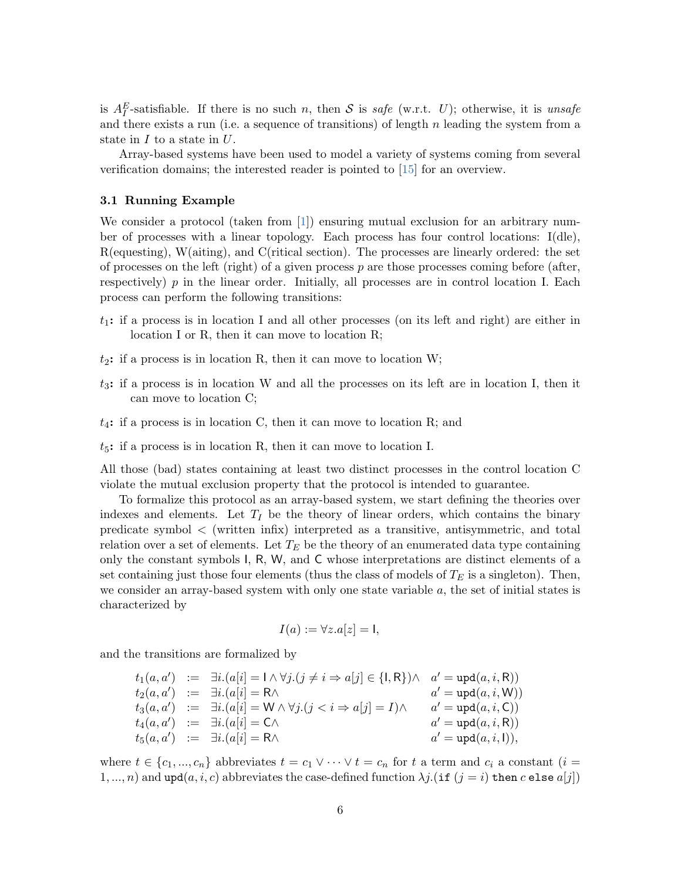is  $A_I^E$ -satisfiable. If there is no such n, then S is safe (w.r.t. U); otherwise, it is unsafe and there exists a run (i.e. a sequence of transitions) of length  $n$  leading the system from a state in  $I$  to a state in  $U$ .

Array-based systems have been used to model a variety of systems coming from several verification domains; the interested reader is pointed to [\[15\]](#page-31-0) for an overview.

#### <span id="page-5-0"></span>3.1 Running Example

We consider a protocol (taken from [\[1\]](#page-30-3)) ensuring mutual exclusion for an arbitrary number of processes with a linear topology. Each process has four control locations: I(dle), R(equesting), W(aiting), and C(ritical section). The processes are linearly ordered: the set of processes on the left (right) of a given process  $p$  are those processes coming before (after, respectively)  $p$  in the linear order. Initially, all processes are in control location I. Each process can perform the following transitions:

- $t_1$ : if a process is in location I and all other processes (on its left and right) are either in location I or R, then it can move to location R;
- $t_2$ : if a process is in location R, then it can move to location W;
- $t_3$ : if a process is in location W and all the processes on its left are in location I, then it can move to location C;
- $t_4$ : if a process is in location C, then it can move to location R; and
- $t_5$ : if a process is in location R, then it can move to location I.

All those (bad) states containing at least two distinct processes in the control location C violate the mutual exclusion property that the protocol is intended to guarantee.

To formalize this protocol as an array-based system, we start defining the theories over indexes and elements. Let  $T_I$  be the theory of linear orders, which contains the binary predicate symbol < (written infix) interpreted as a transitive, antisymmetric, and total relation over a set of elements. Let  $T_E$  be the theory of an enumerated data type containing only the constant symbols I, R, W, and C whose interpretations are distinct elements of a set containing just those four elements (thus the class of models of  $T_E$  is a singleton). Then, we consider an array-based system with only one state variable  $a$ , the set of initial states is characterized by

$$
I(a) := \forall z . a[z] = \mathsf{I},
$$

and the transitions are formalized by

|  | $t_1(a,a') := \exists i.(a[i] = \mathsf{I} \wedge \forall j.(j \neq i \Rightarrow a[j] \in \{\mathsf{I},\mathsf{R}\}) \wedge a' = \text{upd}(a,i,\mathsf{R})$ |                              |
|--|---------------------------------------------------------------------------------------------------------------------------------------------------------------|------------------------------|
|  | $t_2(a,a') := \exists i.(a[i] = R \wedge$                                                                                                                     | $a' = \text{upd}(a, i, W))$  |
|  | $t_3(a, a') := \exists i.(a[i] = W \wedge \forall j.(j < i \Rightarrow a[j] = I) \wedge$                                                                      | $a' = \text{upd}(a, i, C)$   |
|  | $t_4(a,a') := \exists i.(a[i] = \mathsf{C} \wedge$                                                                                                            | $a' = \text{upd}(a, i, R)$   |
|  | $t_5(a, a') := \exists i.(a[i] = \mathsf{R} \wedge$                                                                                                           | $a' = \text{upd}(a, i, l)),$ |

where  $t \in \{c_1, ..., c_n\}$  abbreviates  $t = c_1 \vee \cdots \vee t = c_n$  for t a term and  $c_i$  a constant  $(i =$ 1, ..., n) and  $\text{upd}(a, i, c)$  abbreviates the case-defined function  $\lambda j$  (if  $(j = i)$  then c else  $a[j]$ )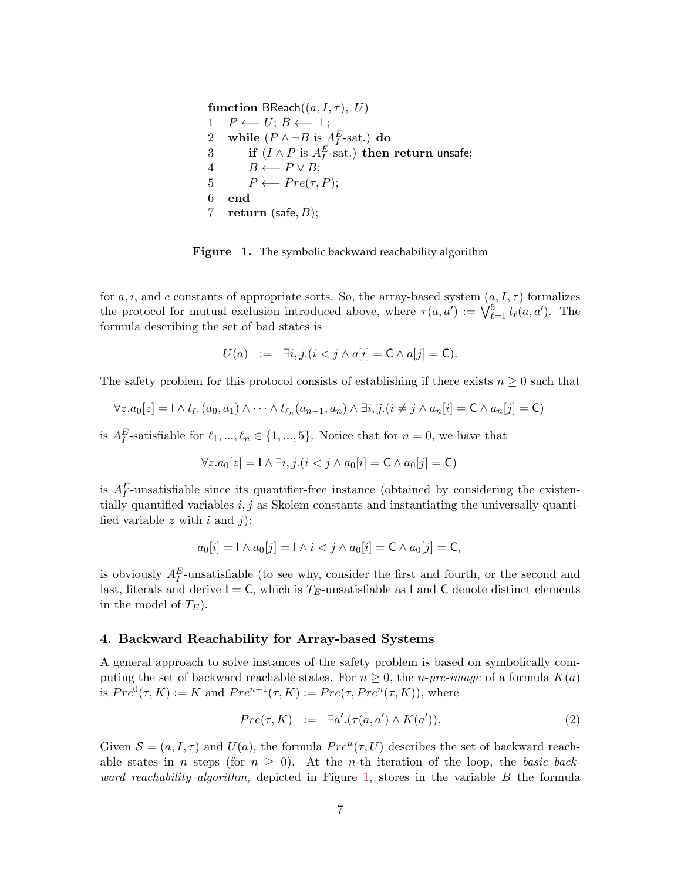function BReach $((a, I, \tau), U)$ 1  $P \longleftarrow U; B \longleftarrow \perp;$ 2 while  $(P \wedge \neg B \text{ is } A_I^E$ -sat.) do 3 if  $(I \wedge P$  is  $A_I^E$ -sat.) then return unsafe; 4  $B \leftarrow P \vee B$ ; 5  $P \longleftarrow Pre(\tau, P);$ 6 end 7 return (safe,  $B$ );

<span id="page-6-1"></span>Figure 1. The symbolic backward reachability algorithm

for a, i, and c constants of appropriate sorts. So, the array-based system  $(a, I, \tau)$  formalizes the protocol for mutual exclusion introduced above, where  $\tau(a, a') := \bigvee_{\ell=1}^5 t_{\ell}(a, a')$ . The formula describing the set of bad states is

$$
U(a) := \exists i, j.(i < j \land a[i] = \mathsf{C} \land a[j] = \mathsf{C}).
$$

The safety problem for this protocol consists of establishing if there exists  $n \geq 0$  such that

$$
\forall z. a_0[z] = \mathsf{I} \wedge t_{\ell_1}(a_0, a_1) \wedge \cdots \wedge t_{\ell_n}(a_{n-1}, a_n) \wedge \exists i, j.(i \neq j \wedge a_n[i] = \mathsf{C} \wedge a_n[j] = \mathsf{C})
$$

is  $A_I^E$ -satisfiable for  $\ell_1, ..., \ell_n \in \{1, ..., 5\}$ . Notice that for  $n = 0$ , we have that

$$
\forall z. a_0[z] = \mathsf{I} \land \exists i, j. (i < j \land a_0[i] = \mathsf{C} \land a_0[j] = \mathsf{C})
$$

is  $A_I^E$ -unsatisfiable since its quantifier-free instance (obtained by considering the existentially quantified variables  $i, j$  as Skolem constants and instantiating the universally quantified variable  $z$  with  $i$  and  $j$ ):

$$
a_0[i] = \mathsf{I} \wedge a_0[j] = \mathsf{I} \wedge i < j \wedge a_0[i] = \mathsf{C} \wedge a_0[j] = \mathsf{C},
$$

is obviously  $A_I^E$ -unsatisfiable (to see why, consider the first and fourth, or the second and last, literals and derive  $I = C$ , which is  $T<sub>E</sub>$ -unsatisfiable as I and C denote distinct elements in the model of  $T_E$ ).

#### <span id="page-6-0"></span>4. Backward Reachability for Array-based Systems

A general approach to solve instances of the safety problem is based on symbolically computing the set of backward reachable states. For  $n \geq 0$ , the *n-pre-image* of a formula  $K(a)$ is  $Pre^{0}(\tau,K) := K$  and  $Pre^{n+1}(\tau,K) := Pre(\tau,Pre^{n}(\tau,K))$ , where

<span id="page-6-2"></span>
$$
Pre(\tau, K) := \exists a'. (\tau(a, a') \wedge K(a')). \tag{2}
$$

Given  $S = (a, I, \tau)$  and  $U(a)$ , the formula  $Pre<sup>n</sup>(\tau, U)$  describes the set of backward reachable states in n steps (for  $n \geq 0$ ). At the n-th iteration of the loop, the basic back*ward reachability algorithm*, depicted in Figure [1,](#page-6-1) stores in the variable  $B$  the formula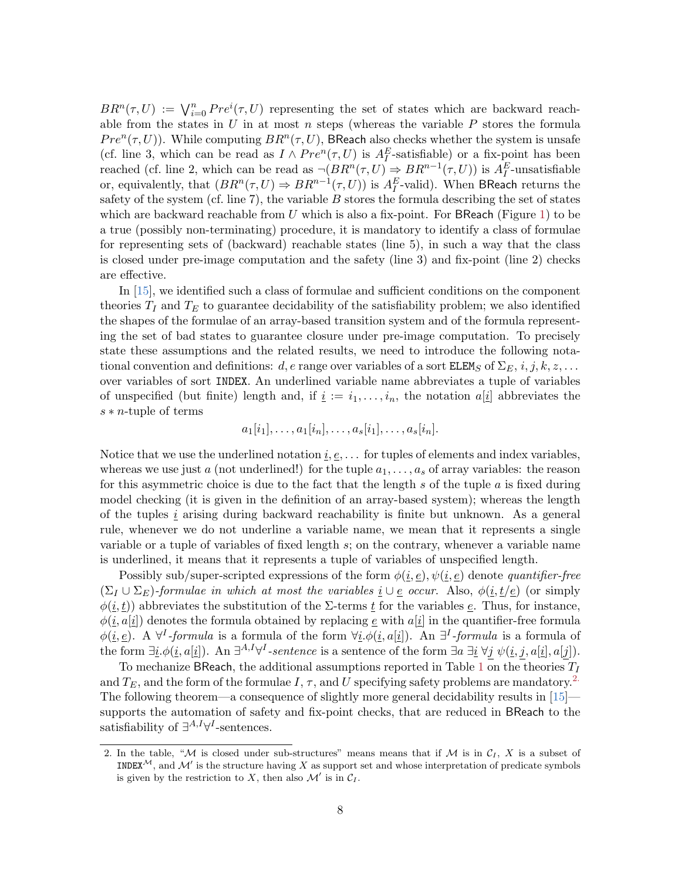$BR^n(\tau, U) := \bigvee_{i=0}^n Pre^i(\tau, U)$  representing the set of states which are backward reachable from the states in U in at most n steps (whereas the variable  $P$  stores the formula  $Pre<sup>n</sup>(\tau, U)$ ). While computing  $BR<sup>n</sup>(\tau, U)$ , BReach also checks whether the system is unsafe (cf. line 3, which can be read as  $I \wedge Pre^n(\tau, U)$  is  $A_I^E$ -satisfiable) or a fix-point has been reached (cf. line 2, which can be read as  $\neg(B R^n(\tau, U) \Rightarrow BR^{n-1}(\tau, U))$  is  $A_I^E$ -unsatisfiable or, equivalently, that  $(BR^n(\tau, U) \Rightarrow BR^{n-1}(\tau, U))$  is  $A_I^E$ -valid). When BReach returns the safety of the system (cf. line 7), the variable  $B$  stores the formula describing the set of states which are backward reachable from U which is also a fix-point. For BReach (Figure [1\)](#page-6-1) to be a true (possibly non-terminating) procedure, it is mandatory to identify a class of formulae for representing sets of (backward) reachable states (line 5), in such a way that the class is closed under pre-image computation and the safety (line 3) and fix-point (line 2) checks are effective.

In [\[15\]](#page-31-0), we identified such a class of formulae and sufficient conditions on the component theories  $T_I$  and  $T_E$  to guarantee decidability of the satisfiability problem; we also identified the shapes of the formulae of an array-based transition system and of the formula representing the set of bad states to guarantee closure under pre-image computation. To precisely state these assumptions and the related results, we need to introduce the following notational convention and definitions: d, e range over variables of a sort ELEMs of  $\Sigma_E$ , i, j, k, z,... over variables of sort INDEX. An underlined variable name abbreviates a tuple of variables of unspecified (but finite) length and, if  $i := i_1, \ldots, i_n$ , the notation  $a[i]$  abbreviates the  $s * n$ -tuple of terms

$$
a_1[i_1], \ldots, a_1[i_n], \ldots, a_s[i_1], \ldots, a_s[i_n].
$$

Notice that we use the underlined notation  $\underline{i}, \underline{e}, \ldots$  for tuples of elements and index variables, whereas we use just a (not underlined!) for the tuple  $a_1, \ldots, a_s$  of array variables: the reason for this asymmetric choice is due to the fact that the length s of the tuple  $a$  is fixed during model checking (it is given in the definition of an array-based system); whereas the length of the tuples  $i$  arising during backward reachability is finite but unknown. As a general rule, whenever we do not underline a variable name, we mean that it represents a single variable or a tuple of variables of fixed length s; on the contrary, whenever a variable name is underlined, it means that it represents a tuple of variables of unspecified length.

Possibly sub/super-scripted expressions of the form  $\phi(i, \underline{e}), \psi(i, \underline{e})$  denote quantifier-free  $(\Sigma_I \cup \Sigma_E)$ -formulae in which at most the variables  $\underline{i} \cup \underline{e}$  occur. Also,  $\phi(\underline{i}, t/\underline{e})$  (or simply  $\phi(i, t)$ ) abbreviates the substitution of the Σ-terms t for the variables e. Thus, for instance,  $\phi(i, a[i])$  denotes the formula obtained by replacing e with  $a[i]$  in the quantifier-free formula  $\phi(\underline{i}, \underline{e})$ . A  $\forall^{I}$ -formula is a formula of the form  $\forall \underline{i}.\phi(\underline{i}, a[\underline{i}])$ . An  $\exists^{I}$ -formula is a formula of the form  $\exists \underline{i}.\phi(\underline{i}, a[\underline{i}])$ . An  $\exists^{A,I}\forall^{I}$ -sentence is a sentence of the form  $\exists a \exists \underline{i} \ \forall j \ \psi(\underline{i}, j, a[\underline{i}], a[j])$ .

To mechanize BReach, the additional assumptions reported in Table [1](#page-8-0) on the theories  $T_I$ and  $T_E$ , and the form of the formulae I,  $\tau$ , and U specifying safety problems are mandatory.<sup>2</sup> The following theorem—a consequence of slightly more general decidability results in [\[15\]](#page-31-0) supports the automation of safety and fix-point checks, that are reduced in BReach to the satisfiability of  $\exists^{A,I} \forall^{I}$ -sentences.

<span id="page-7-1"></span><span id="page-7-0"></span><sup>2.</sup> In the table, "M is closed under sub-structures" means means that if M is in  $\mathcal{C}_I$ , X is a subset of INDEX<sup>M</sup>, and M' is the structure having X as support set and whose interpretation of predicate symbols is given by the restriction to X, then also  $\mathcal{M}'$  is in  $\mathcal{C}_I$ .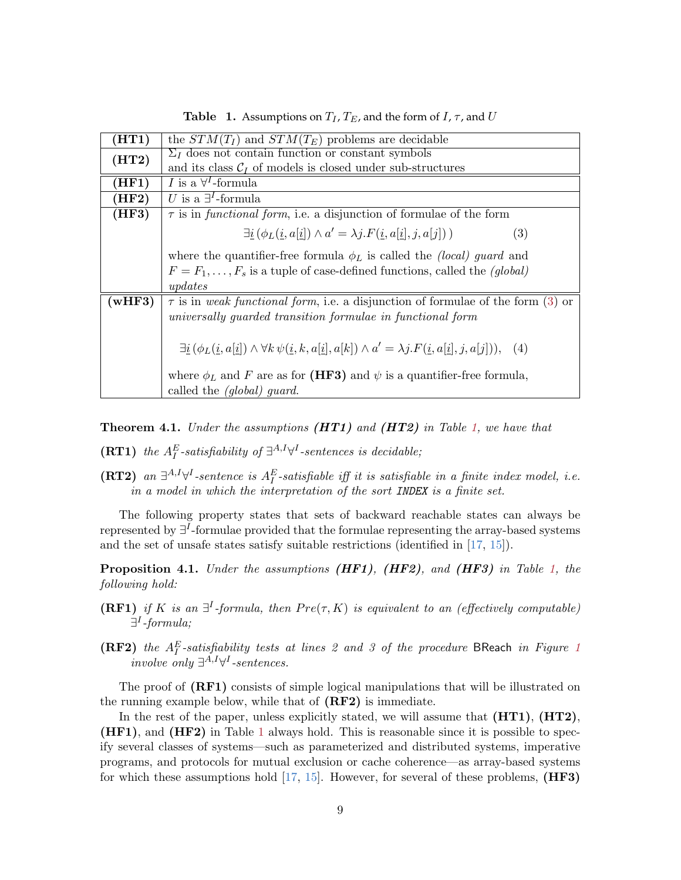| $\rm (HT1)$ | the $STM(T_I)$ and $STM(T_E)$ problems are decidable                                                                 |  |  |  |  |
|-------------|----------------------------------------------------------------------------------------------------------------------|--|--|--|--|
| (HT2)       | $\Sigma_I$ does not contain function or constant symbols                                                             |  |  |  |  |
|             | and its class $C_I$ of models is closed under sub-structures                                                         |  |  |  |  |
| (HF1)       | I is a $\forall$ '-formula                                                                                           |  |  |  |  |
| (HF2)       | $\overline{U}$ is a $\exists$ <sup>T</sup> -formula                                                                  |  |  |  |  |
| (HF3)       | $\tau$ is in <i>functional form</i> , i.e. a disjunction of formulae of the form                                     |  |  |  |  |
|             | $\exists i (\phi_L(i, a[i]) \wedge a' = \lambda j. F(i, a[i], j, a[j]))$<br>$\left( 3\right)$                        |  |  |  |  |
|             | where the quantifier-free formula $\phi_L$ is called the <i>(local)</i> guard and                                    |  |  |  |  |
|             | $F = F_1, \ldots, F_s$ is a tuple of case-defined functions, called the <i>(global)</i>                              |  |  |  |  |
|             | updates                                                                                                              |  |  |  |  |
| (wHF3)      | $\tau$ is in <i>weak functional form</i> , i.e. a disjunction of formulae of the form (3) or                         |  |  |  |  |
|             | universally quarded transition formulae in functional form                                                           |  |  |  |  |
|             |                                                                                                                      |  |  |  |  |
|             | $\exists i (\phi_L(i, a[i]) \wedge \forall k \psi(i, k, a[i], a[k]) \wedge a' = \lambda j. F(i, a[i], j, a[j]),$ (4) |  |  |  |  |
|             | where $\phi_L$ and F are as for (HF3) and $\psi$ is a quantifier-free formula,                                       |  |  |  |  |
|             | called the <i>(global) guard</i> .                                                                                   |  |  |  |  |

<span id="page-8-1"></span><span id="page-8-0"></span>**Table 1.** Assumptions on  $T_I$ ,  $T_E$ , and the form of I,  $\tau$ , and U

<span id="page-8-3"></span>**Theorem 4.1.** Under the assumptions  $(HT1)$  and  $(HT2)$  in Table [1,](#page-8-0) we have that

**(RT1)** the  $A_I^E$ -satisfiability of  $\exists^{A,I} \forall^I$ -sentences is decidable;

**(RT2)** an  $\exists^{A,I}\forall^{I}$ -sentence is  $A_{I}^{E}$ -satisfiable iff it is satisfiable in a finite index model, i.e. in a model in which the interpretation of the sort INDEX is a finite set.

The following property states that sets of backward reachable states can always be represented by  $\exists^{I}$ -formulae provided that the formulae representing the array-based systems and the set of unsafe states satisfy suitable restrictions (identified in [\[17,](#page-31-1) [15\]](#page-31-0)).

<span id="page-8-2"></span>**Proposition 4.1.** Under the assumptions  $(HF1)$ ,  $(HF2)$ , and  $(HF3)$  in Table [1,](#page-8-0) the following hold:

- **(RF1)** if K is an  $\exists^{I}$ -formula, then  $Pre(\tau, K)$  is equivalent to an (effectively computable)  $\exists^I\text{-}formula;$
- $(RF2)$  the  $A_I^E$ -satisfiability tests at lines 2 and 3 of the procedure BReach in Figure [1](#page-6-1) involve only  $\exists^{A,I} \forall^I$ -sentences.

The proof of  $(RF1)$  consists of simple logical manipulations that will be illustrated on the running example below, while that of  $(RF2)$  is immediate.

In the rest of the paper, unless explicitly stated, we will assume that  $(HT1)$ ,  $(HT2)$ , (HF1), and (HF2) in Table [1](#page-8-0) always hold. This is reasonable since it is possible to specify several classes of systems—such as parameterized and distributed systems, imperative programs, and protocols for mutual exclusion or cache coherence—as array-based systems for which these assumptions hold  $[17, 15]$  $[17, 15]$  $[17, 15]$ . However, for several of these problems,  $(HF3)$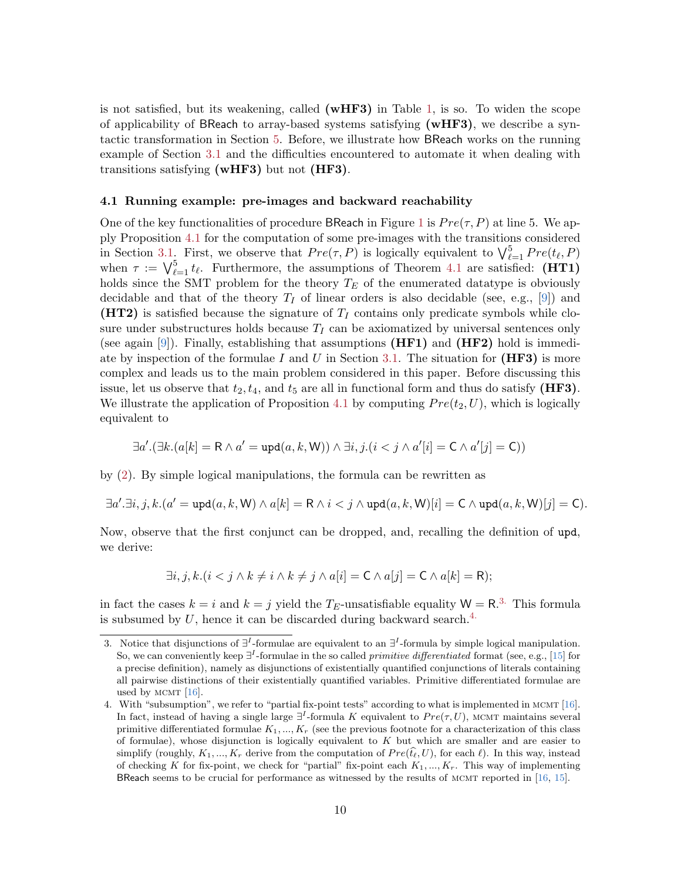is not satisfied, but its weakening, called  $(wHF3)$  in Table [1,](#page-8-0) is so. To widen the scope of applicability of BReach to array-based systems satisfying  $(wHF3)$ , we describe a syntactic transformation in Section [5.](#page-10-0) Before, we illustrate how BReach works on the running example of Section [3.1](#page-5-0) and the difficulties encountered to automate it when dealing with transitions satisfying  $(wHF3)$  but not  $(HF3)$ .

#### <span id="page-9-2"></span>4.1 Running example: pre-images and backward reachability

One of the key functionalities of procedure BReach in Figure [1](#page-6-1) is  $Pre(\tau, P)$  at line 5. We apply Proposition [4.1](#page-8-2) for the computation of some pre-images with the transitions considered in Section [3.1.](#page-5-0) First, we observe that  $Pre(\tau, P)$  is logically equivalent to  $\bigvee_{\ell=1}^5 Pre(t_\ell, P)$ when  $\tau := \bigvee_{\ell=1}^5 t_\ell$ . Furthermore, the assumptions of Theorem [4.1](#page-7-1) are satisfied: (HT1) holds since the SMT problem for the theory  $T_E$  of the enumerated datatype is obviously decidable and that of the theory  $T_I$  of linear orders is also decidable (see, e.g., [\[9\]](#page-31-7)) and  $(HT2)$  is satisfied because the signature of  $T_I$  contains only predicate symbols while closure under substructures holds because  $T_I$  can be axiomatized by universal sentences only (see again  $[9]$ ). Finally, establishing that assumptions (**HF1**) and (**HF2**) hold is immedi-ate by inspection of the formulae I and U in Section [3.1.](#page-5-0) The situation for  $(HF3)$  is more complex and leads us to the main problem considered in this paper. Before discussing this issue, let us observe that  $t_2, t_4$ , and  $t_5$  are all in functional form and thus do satisfy (HF3). We illustrate the application of Proposition [4.1](#page-8-2) by computing  $Pre(t_2, U)$ , which is logically equivalent to

$$
\exists a'.(\exists k.(a[k] = \mathsf{R} \land a' = \mathsf{upd}(a,k,\mathsf{W})) \land \exists i,j.(i < j \land a'[i] = \mathsf{C} \land a'[j] = \mathsf{C}))
$$

by [\(2\)](#page-6-2). By simple logical manipulations, the formula can be rewritten as

$$
\exists a'.\exists i,j,k.(a' = \text{upd}(a,k,\mathsf{W}) \land a[k] = \mathsf{R} \land i < j \land \text{upd}(a,k,\mathsf{W})[i] = \mathsf{C} \land \text{upd}(a,k,\mathsf{W})[j] = \mathsf{C}).
$$

Now, observe that the first conjunct can be dropped, and, recalling the definition of upd, we derive:

$$
\exists i, j, k. (i < j \land k \neq i \land k \neq j \land a[i] = C \land a[j] = C \land a[k] = R);
$$

in fact the cases  $k = i$  and  $k = j$  yield the  $T_E$ -unsatisfiable equality  $W = R^{3}$ . This formula is subsumed by U, hence it can be discarded during backward search.<sup>[4.](#page-9-1)</sup>

<span id="page-9-0"></span><sup>3.</sup> Notice that disjunctions of  $\exists^{I}$ -formulae are equivalent to an  $\exists^{I}$ -formula by simple logical manipulation. So, we can conveniently keep  $\exists^{I}$ -formulae in the so called *primitive differentiated* format (see, e.g., [\[15\]](#page-31-0) for a precise definition), namely as disjunctions of existentially quantified conjunctions of literals containing all pairwise distinctions of their existentially quantified variables. Primitive differentiated formulae are used by MCMT  $[16]$ .

<span id="page-9-1"></span><sup>4.</sup> With "subsumption", we refer to "partial fix-point tests" according to what is implemented in MCMT [\[16\]](#page-31-3). In fact, instead of having a single large  $\exists^I$ -formula K equivalent to  $Pre(\tau, U)$ , MCMT maintains several primitive differentiated formulae  $K_1, ..., K_r$  (see the previous footnote for a characterization of this class of formulae), whose disjunction is logically equivalent to  $K$  but which are smaller and are easier to simplify (roughly,  $K_1, ..., K_r$  derive from the computation of  $Pre(\hat{t}_\ell, U)$ , for each  $\ell$ ). In this way, instead of checking K for fix-point, we check for "partial" fix-point each  $K_1, ..., K_r$ . This way of implementing BReach seems to be crucial for performance as witnessed by the results of MCMT reported in [\[16,](#page-31-3) [15\]](#page-31-0).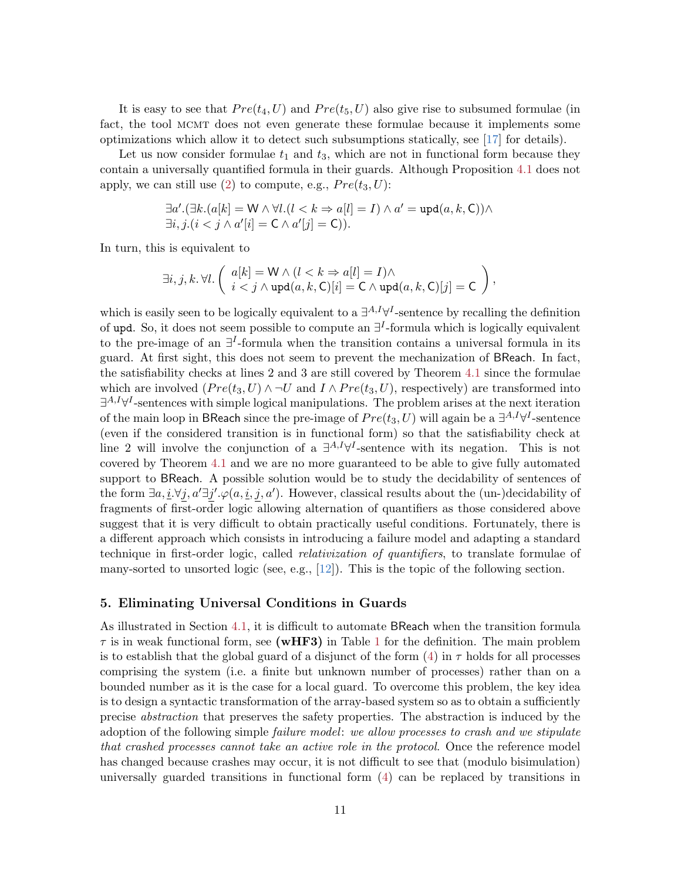It is easy to see that  $Pre(t_4, U)$  and  $Pre(t_5, U)$  also give rise to subsumed formulae (in fact, the tool mcmt does not even generate these formulae because it implements some optimizations which allow it to detect such subsumptions statically, see [\[17\]](#page-31-1) for details).

Let us now consider formulae  $t_1$  and  $t_3$ , which are not in functional form because they contain a universally quantified formula in their guards. Although Proposition [4.1](#page-8-2) does not apply, we can still use [\(2\)](#page-6-2) to compute, e.g.,  $Pre(t_3, U)$ :

$$
\exists a'.(\exists k. (a[k] = W \land \forall l.(l < k \Rightarrow a[l] = I) \land a' = \text{upd}(a, k, C)) \land \exists i, j.(i < j \land a'[i] = C \land a'[j] = C)).
$$

In turn, this is equivalent to

$$
\exists i,j,k. \, \forall l. \left(\begin{array}{c} a[k] = \mathsf{W} \land (l < k \Rightarrow a[l] = I) \land \\ i < j \land \mathtt{upd}(a,k,\mathsf{C})[i] = \mathsf{C} \land \mathtt{upd}(a,k,\mathsf{C})[j] = \mathsf{C} \end{array}\right),
$$

which is easily seen to be logically equivalent to a  $\exists^{A,I}\forall^{I}$ -sentence by recalling the definition of upd. So, it does not seem possible to compute an  $\exists^{I}$ -formula which is logically equivalent to the pre-image of an ∃ I -formula when the transition contains a universal formula in its guard. At first sight, this does not seem to prevent the mechanization of BReach. In fact, the satisfiability checks at lines 2 and 3 are still covered by Theorem [4.1](#page-7-1) since the formulae which are involved  $(Pre(t_3, U) \wedge \neg U$  and  $I \wedge Pre(t_3, U)$ , respectively) are transformed into  $\exists^{A,I}\forall^{I}$ -sentences with simple logical manipulations. The problem arises at the next iteration of the main loop in BReach since the pre-image of  $Pre(t_3, U)$  will again be a  $\exists^{A,I} \forall^{I}$ -sentence (even if the considered transition is in functional form) so that the satisfiability check at line 2 will involve the conjunction of a  $\exists^{A,I}\forall^{I}$ -sentence with its negation. This is not covered by Theorem [4.1](#page-7-1) and we are no more guaranteed to be able to give fully automated support to BReach. A possible solution would be to study the decidability of sentences of the form  $\exists a, \underline{i}.\forall j, a' \exists j'. \varphi(a, \underline{i}, j, a')$ . However, classical results about the (un-)decidability of fragments of first-order logic allowing alternation of quantifiers as those considered above suggest that it is very difficult to obtain practically useful conditions. Fortunately, there is a different approach which consists in introducing a failure model and adapting a standard technique in first-order logic, called relativization of quantifiers, to translate formulae of many-sorted to unsorted logic (see, e.g.,  $[12]$ ). This is the topic of the following section.

#### <span id="page-10-0"></span>5. Eliminating Universal Conditions in Guards

As illustrated in Section [4.1,](#page-9-2) it is difficult to automate BReach when the transition formula  $\tau$  is in weak functional form, see (wHF3) in Table [1](#page-8-0) for the definition. The main problem is to establish that the global guard of a disjunct of the form  $(4)$  in  $\tau$  holds for all processes comprising the system (i.e. a finite but unknown number of processes) rather than on a bounded number as it is the case for a local guard. To overcome this problem, the key idea is to design a syntactic transformation of the array-based system so as to obtain a sufficiently precise abstraction that preserves the safety properties. The abstraction is induced by the adoption of the following simple *failure model: we allow processes to crash and we stipulate* that crashed processes cannot take an active role in the protocol. Once the reference model has changed because crashes may occur, it is not difficult to see that (modulo bisimulation) universally guarded transitions in functional form [\(4\)](#page-8-3) can be replaced by transitions in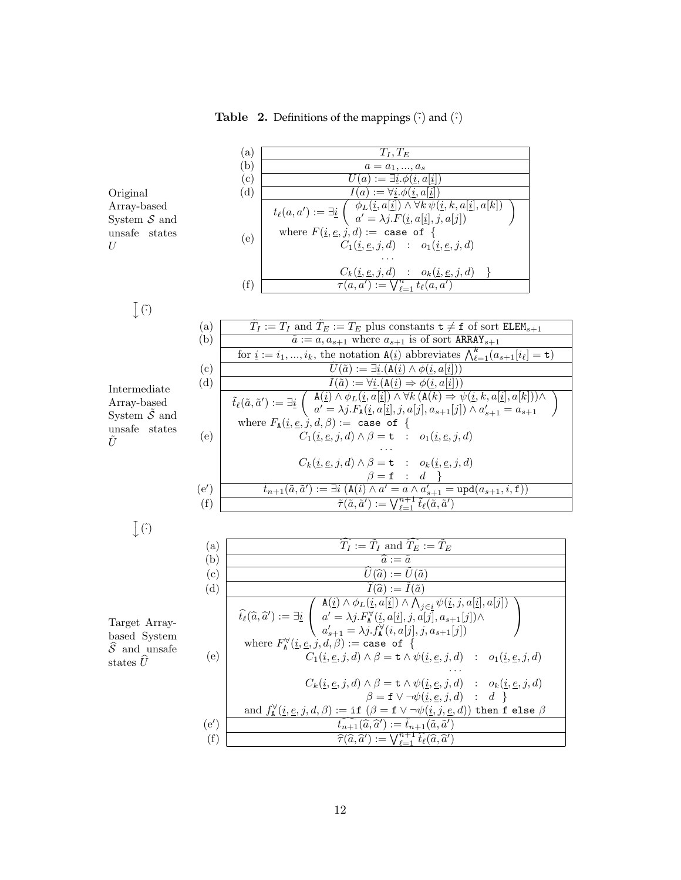<span id="page-11-0"></span>**Table** 2. Definitions of the mappings  $(\tilde{\cdot})$  and  $(\tilde{\cdot})$ 

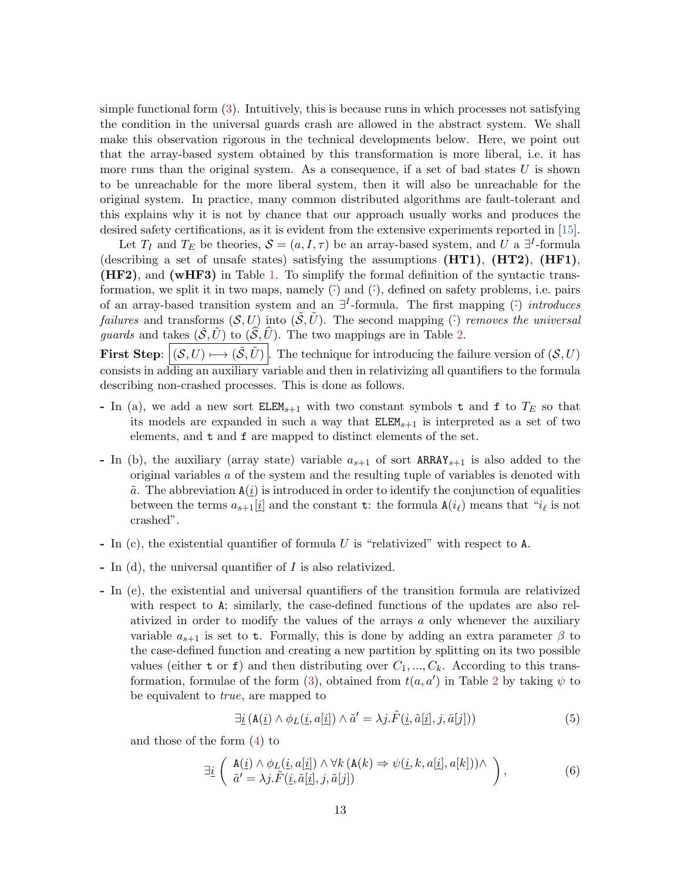simple functional form [\(3\)](#page-8-1). Intuitively, this is because runs in which processes not satisfying the condition in the universal guards crash are allowed in the abstract system. We shall make this observation rigorous in the technical developments below. Here, we point out that the array-based system obtained by this transformation is more liberal, i.e. it has more runs than the original system. As a consequence, if a set of bad states  $U$  is shown to be unreachable for the more liberal system, then it will also be unreachable for the original system. In practice, many common distributed algorithms are fault-tolerant and this explains why it is not by chance that our approach usually works and produces the desired safety certifications, as it is evident from the extensive experiments reported in [\[15\]](#page-31-0).

Let  $T_I$  and  $T_E$  be theories,  $\mathcal{S} = (a, I, \tau)$  be an array-based system, and U a  $\exists^I$ -formula (describing a set of unsafe states) satisfying the assumptions  $(HT1)$ ,  $(HT2)$ ,  $(HF1)$ , (HF2), and (wHF3) in Table [1.](#page-8-0) To simplify the formal definition of the syntactic transformation, we split it in two maps, namely  $(†)$  and  $(†)$ , defined on safety problems, i.e. pairs of an array-based transition system and an  $\exists^{I}$ -formula. The first mapping ( $\hat{\cdot}$ ) *introduces* failures and transforms  $(S, U)$  into  $(\tilde{S}, \tilde{U})$ . The second mapping ( $\tilde{\cdot}$ ) removes the universal guards and takes  $(\tilde{\mathcal{S}}, \tilde{U})$  to  $(\widehat{\mathcal{S}}, \widehat{U})$ . The two mappings are in Table [2.](#page-11-0)

First Step:  $|(S, U) \rightarrow (\tilde{S}, \tilde{U})|$ . The technique for introducing the failure version of  $(S, U)$ consists in adding an auxiliary variable and then in relativizing all quantifiers to the formula describing non-crashed processes. This is done as follows.

- In (a), we add a new sort  $\text{ELEM}_{s+1}$  with two constant symbols t and f to  $T_E$  so that its models are expanded in such a way that  $ELEM_{s+1}$  is interpreted as a set of two elements, and t and f are mapped to distinct elements of the set.
- In (b), the auxiliary (array state) variable  $a_{s+1}$  of sort  $ARRAY_{s+1}$  is also added to the original variables a of the system and the resulting tuple of variables is denoted with  $\tilde{a}$ . The abbreviation  $A(i)$  is introduced in order to identify the conjunction of equalities between the terms  $a_{s+1}[\underline{i}]$  and the constant **t**: the formula  $A(i_\ell)$  means that " $i_\ell$  is not crashed".
- In  $(c)$ , the existential quantifier of formula U is "relativized" with respect to A.
- In  $(d)$ , the universal quantifier of  $I$  is also relativized.
- In (e), the existential and universal quantifiers of the transition formula are relativized with respect to A; similarly, the case-defined functions of the updates are also relativized in order to modify the values of the arrays a only whenever the auxiliary variable  $a_{s+1}$  is set to t. Formally, this is done by adding an extra parameter  $\beta$  to the case-defined function and creating a new partition by splitting on its two possible values (either t or f) and then distributing over  $C_1, ..., C_k$ . According to this trans-formation, formulae of the form [\(3\)](#page-8-1), obtained from  $t(a, a')$  in Table [2](#page-11-0) by taking  $\psi$  to be equivalent to *true*, are mapped to

<span id="page-12-1"></span><span id="page-12-0"></span>
$$
\exists \underline{i} \left( \mathbf{A}(\underline{i}) \wedge \phi_L(\underline{i}, a[\underline{i}]) \wedge \tilde{a}' = \lambda j. \tilde{F}(\underline{i}, \tilde{a}[\underline{i}], j, \tilde{a}[\underline{j}]) \right)
$$
(5)

and those of the form [\(4\)](#page-8-3) to

$$
\exists \underline{i} \begin{pmatrix} \mathbf{A}(\underline{i}) \wedge \phi_L(\underline{i}, a[\underline{i}]) \wedge \forall k (\mathbf{A}(k) \Rightarrow \psi(\underline{i}, k, a[\underline{i}], a[k])) \wedge \\ \tilde{a}' = \lambda \mathbf{j} . \tilde{F}(\underline{i}, \tilde{a}[\underline{i}], \mathbf{j}, \tilde{a}[\mathbf{j}]) \end{pmatrix}, \tag{6}
$$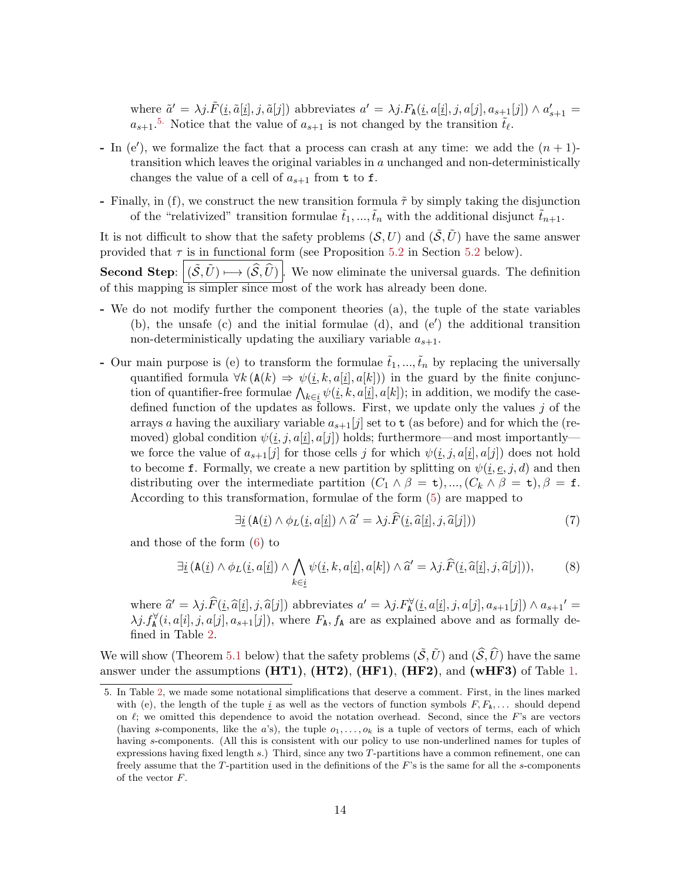where  $\tilde{a}' = \lambda j.\tilde{F}(\underline{i}, \tilde{a}[\underline{i}], j, \tilde{a}[j])$  abbreviates  $a' = \lambda j.F_A(\underline{i}, a[\underline{i}], j, a[j], a_{s+1}[j]) \wedge a'_{s+1}$  $a_{s+1}$ <sup>5</sup>. Notice that the value of  $a_{s+1}$  is not changed by the transition  $\tilde{t}_\ell$ .

- In (e'), we formalize the fact that a process can crash at any time: we add the  $(n + 1)$ transition which leaves the original variables in  $a$  unchanged and non-deterministically changes the value of a cell of  $a_{s+1}$  from t to f.
- Finally, in (f), we construct the new transition formula  $\tilde{\tau}$  by simply taking the disjunction of the "relativized" transition formulae  $\tilde{t}_1, ..., \tilde{t}_n$  with the additional disjunct  $\tilde{t}_{n+1}$ .

It is not difficult to show that the safety problems  $(S, U)$  and  $(\tilde{S}, \tilde{U})$  have the same answer provided that  $\tau$  is in functional form (see Proposition [5.2](#page-16-0) in Section 5.2 below).

**Second Step:**  $(\tilde{S}, \tilde{U}) \mapsto (\tilde{S}, \tilde{U})$ . We now eliminate the universal guards. The definition of this mapping is simpler since most of the work has already been done.

- We do not modify further the component theories (a), the tuple of the state variables (b), the unsafe (c) and the initial formulae (d), and  $(e')$  the additional transition non-deterministically updating the auxiliary variable  $a_{s+1}$ .
- Our main purpose is (e) to transform the formulae  $\tilde{t}_1, ..., \tilde{t}_n$  by replacing the universally quantified formula  $\forall k (\mathbf{A}(k) \Rightarrow \psi(i, k, a[i], a[k]))$  in the guard by the finite conjunction of quantifier-free formulae  $\bigwedge_{k\in\mathcal{I}}\psi(i,k,a[i],a[k])$ ; in addition, we modify the casedefined function of the updates as follows. First, we update only the values  $j$  of the arrays a having the auxiliary variable  $a_{s+1}[j]$  set to  $t$  (as before) and for which the (removed) global condition  $\psi(i, j, a[i], a[j])$  holds; furthermore—and most importantly we force the value of  $a_{s+1}[j]$  for those cells j for which  $\psi(\underline{i},j, a[\underline{i}], a[j])$  does not hold to become f. Formally, we create a new partition by splitting on  $\psi(i, \underline{e}, j, d)$  and then distributing over the intermediate partition  $(C_1 \wedge \beta = \mathbf{t}), ..., (C_k \wedge \beta = \mathbf{t}), \beta = \mathbf{f}.$ According to this transformation, formulae of the form [\(5\)](#page-12-0) are mapped to

$$
\exists \underline{i} \left( \mathbf{A}(\underline{i}) \wedge \phi_L(\underline{i}, a[\underline{i}]) \wedge \widehat{a}' = \lambda j. \widehat{F}(\underline{i}, \widehat{a}[\underline{i}], j, \widehat{a}[j]) \right) \tag{7}
$$

and those of the form [\(6\)](#page-12-1) to

$$
\exists \underline{i} \left( \mathbf{A}(\underline{i}) \wedge \phi_L(\underline{i}, a[\underline{i}]) \wedge \bigwedge_{k \in \underline{i}} \psi(\underline{i}, k, a[\underline{i}], a[k]) \wedge \widehat{a}' = \lambda j. \widehat{F}(\underline{i}, \widehat{a}[\underline{i}], j, \widehat{a}[j]) \right), \tag{8}
$$

where  $\hat{a}' = \lambda j \cdot \hat{F}(i, \hat{a}[i], j, \hat{a}[j])$  abbreviates  $a' = \lambda j \cdot F_{\mathbf{A}}^{\forall}(i, a[i], j, a[j], a_{s+1}[j]) \wedge a_{s+1}' =$  $\lambda j. f_{\mathbf{A}}^{\forall}(i, a[i], j, a[j], a_{s+1}[j]),$  where  $F_{\mathbf{A}}, f_{\mathbf{A}}$  are as explained above and as formally defined in Table [2.](#page-11-0)

We will show (Theorem [5.1](#page-18-0) below) that the safety problems  $(\tilde{S}, \tilde{U})$  and  $(\widehat{S}, \widehat{U})$  have the same answer under the assumptions  $(HT1)$ ,  $(HT2)$ ,  $(HF1)$ ,  $(HF2)$ , and  $(wHF3)$  of Table [1.](#page-8-0)

<span id="page-13-0"></span><sup>5.</sup> In Table [2,](#page-11-0) we made some notational simplifications that deserve a comment. First, in the lines marked with (e), the length of the tuple i as well as the vectors of function symbols  $F, F_{\mathbb{A}}$ ,... should depend on  $\ell$ ; we omitted this dependence to avoid the notation overhead. Second, since the F's are vectors (having s-components, like the a's), the tuple  $o_1, \ldots, o_k$  is a tuple of vectors of terms, each of which having s-components. (All this is consistent with our policy to use non-underlined names for tuples of expressions having fixed length s.) Third, since any two T-partitions have a common refinement, one can freely assume that the T-partition used in the definitions of the F's is the same for all the s-components of the vector  $F$ .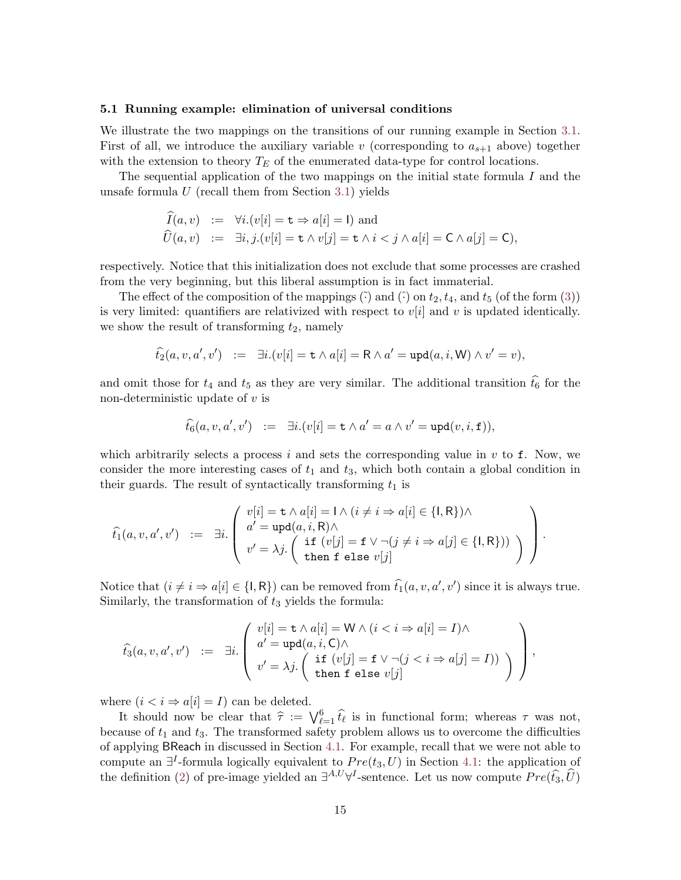#### 5.1 Running example: elimination of universal conditions

We illustrate the two mappings on the transitions of our running example in Section [3.1.](#page-5-0) First of all, we introduce the auxiliary variable v (corresponding to  $a_{s+1}$  above) together with the extension to theory  $T_E$  of the enumerated data-type for control locations.

The sequential application of the two mappings on the initial state formula  $I$  and the unsafe formula  $U$  (recall them from Section [3.1\)](#page-5-0) yields

$$
\begin{array}{rcl}\n\widehat{I}(a,v) & := & \forall i. (v[i] = \mathtt{t} \Rightarrow a[i] = \mathtt{I}) \text{ and} \\
\widehat{U}(a,v) & := & \exists i, j. (v[i] = \mathtt{t} \land v[j] = \mathtt{t} \land i < j \land a[i] = \mathtt{C} \land a[j] = \mathtt{C}),\n\end{array}
$$

respectively. Notice that this initialization does not exclude that some processes are crashed from the very beginning, but this liberal assumption is in fact immaterial.

The effect of the composition of the mappings ( $\tilde{\cdot}$ ) and ( $\tilde{\cdot}$ ) on  $t_2, t_4$ , and  $t_5$  (of the form [\(3\)](#page-8-1)) is very limited: quantifiers are relativized with respect to  $v[i]$  and  $v$  is updated identically. we show the result of transforming  $t_2$ , namely

$$
\widehat{t_2}(a, v, a', v') \quad := \quad \exists i. (v[i] = \mathbf{t} \land a[i] = \mathsf{R} \land a' = \mathsf{upd}(a, i, \mathsf{W}) \land v' = v),
$$

and omit those for  $t_4$  and  $t_5$  as they are very similar. The additional transition  $\hat{t}_6$  for the non-deterministic update of  $v$  is

$$
\widehat{t_6}(a,v,a',v') \ := \ \exists i.(v[i] = \mathtt{t} \wedge a' = a \wedge v' = \mathtt{upd}(v,i,\mathtt{f})),
$$

which arbitrarily selects a process i and sets the corresponding value in  $v$  to f. Now, we consider the more interesting cases of  $t_1$  and  $t_3$ , which both contain a global condition in their guards. The result of syntactically transforming  $t_1$  is

$$
\hat{t}_1(a, v, a', v') := \exists i. \begin{pmatrix} v[i] = \mathbf{t} \wedge a[i] = \mathbf{I} \wedge (i \neq i \Rightarrow a[i] \in \{\mathbf{I}, \mathsf{R}\}) \wedge \\ a' = \text{upd}(a, i, \mathsf{R}) \wedge \\ v' = \lambda j. \begin{pmatrix} \text{if } (v[j] = \mathbf{f} \vee \neg (j \neq i \Rightarrow a[j] \in \{\mathbf{I}, \mathsf{R}\}) \\ \text{then } \mathbf{f} \text{ else } v[j] \end{pmatrix} \end{pmatrix}.
$$

Notice that  $(i \neq i \Rightarrow a[i] \in \{1, R\})$  can be removed from  $\hat{t}_1(a, v, a', v')$  since it is always true. Similarly, the transformation of  $t_3$  yields the formula:

$$
\hat{t_3}(a, v, a', v') \ := \ \exists i. \left( \begin{array}{c} v[i] = \mathbf{t} \wedge a[i] = \mathsf{W} \wedge (i < i \Rightarrow a[i] = I) \wedge \\ a' = \text{upd}(a, i, \mathsf{C}) \wedge \\ v' = \lambda j. \left( \begin{array}{c} \text{if } (v[j] = \mathbf{f} \vee \neg(j < i \Rightarrow a[j] = I)) \\ \text{then } \mathbf{f} \text{ else } v[j] \end{array} \right) \end{array} \right),
$$

where  $(i < i \Rightarrow a[i] = I)$  can be deleted.

It should now be clear that  $\hat{\tau} := \bigvee_{\ell=1}^6 \hat{t}_{\ell}$  is in functional form; whereas  $\tau$  was not, because of  $t_1$  and  $t_3$ . The transformed safety problem allows us to overcome the difficulties of applying BReach in discussed in Section [4.1.](#page-9-2) For example, recall that we were not able to compute an  $\exists^{I}$ -formula logically equivalent to  $Pre(t_3, U)$  in Section [4.1:](#page-9-2) the application of the definition [\(2\)](#page-6-2) of pre-image yielded an  $\exists^{A,U}\forall^{I}$ -sentence. Let us now compute  $Pre(\hat{t}_3,\hat{U})$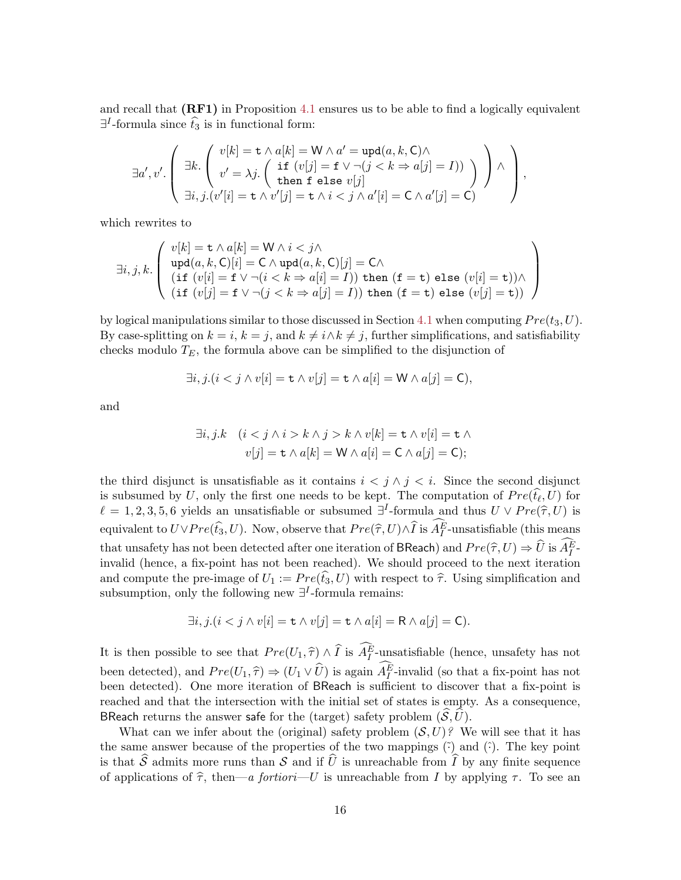and recall that (RF1) in Proposition [4.1](#page-8-2) ensures us to be able to find a logically equivalent  $\exists^{I}$ -formula since  $\hat{t}_3$  is in functional form:

$$
\exists a', v'. \left( \begin{array}{c} v[k] = \mathbf{t} \wedge a[k] = \mathsf{W} \wedge a' = \text{upd}(a, k, \mathsf{C}) \wedge \\ v' = \lambda j. \left( \begin{array}{c} \text{if } (v[j] = \mathbf{f} \vee \neg(j < k \Rightarrow a[j] = I)) \\ \text{then } \mathbf{f} \text{ else } v[j] \end{array} \right) \right) \wedge \\ \exists i, j. (v'[i] = \mathbf{t} \wedge v'[j] = \mathbf{t} \wedge i < j \wedge a'[i] = \mathsf{C} \wedge a'[j] = \mathsf{C}) \end{array} \right),
$$

which rewrites to

$$
\exists i,j,k. \left( \begin{array}{l} v[k]=\texttt{t} \wedge a[k] = \texttt{W} \wedge i < j \wedge \\ \texttt{upd}(a,k,\texttt{C})[i] = \texttt{C} \wedge \texttt{upd}(a,k,\texttt{C})[j] = \texttt{C} \wedge \\ (\texttt{if} \ (v[i] = \texttt{f} \vee \neg(i < k \Rightarrow a[i] = I)) \texttt{ then } (\texttt{f} = \texttt{t}) \texttt{ else } (v[i] = \texttt{t})) \wedge \\ (\texttt{if} \ (v[j] = \texttt{f} \vee \neg(j < k \Rightarrow a[j] = I)) \texttt{ then } (\texttt{f} = \texttt{t}) \texttt{ else } (v[j] = \texttt{t})) \end{array} \right)
$$

by logical manipulations similar to those discussed in Section [4.1](#page-9-2) when computing  $Pre(t_3, U)$ . By case-splitting on  $k = i$ ,  $k = j$ , and  $k \neq i \land k \neq j$ , further simplifications, and satisfiability checks modulo  $T_E$ , the formula above can be simplified to the disjunction of

$$
\exists i, j.(i < j \land v[i] = \mathbf{t} \land v[j] = \mathbf{t} \land a[i] = \mathbf{W} \land a[j] = \mathbf{C}),
$$

and

$$
\exists i, j. k \quad (i < j \land i > k \land j > k \land v[k] = \mathbf{t} \land v[i] = \mathbf{t} \land v[i] = \mathbf{t} \land v[j] = \mathbf{t} \land a[k] = \mathbf{W} \land a[i] = \mathbf{C} \land a[j] = \mathbf{C};
$$

the third disjunct is unsatisfiable as it contains  $i < j \wedge j < i$ . Since the second disjunct is subsumed by U, only the first one needs to be kept. The computation of  $Pre(t_\ell, U)$  for  $\ell = 1, 2, 3, 5, 6$  yields an unsatisfiable or subsumed  $\exists^{I}$ -formula and thus  $U \vee Pre(\hat{\tau}, U)$  is equivalent to  $U \vee Pre(\hat{t}_3, U)$ . Now, observe that  $Pre(\hat{\tau}, U) \wedge \hat{I}$  is  $A_I^E$ -unsatisfiable (this means that unsafety has not been detected after one iteration of BReach) and  $Pre(\hat{\tau}, U) \Rightarrow \hat{U}$  is  $A_L^E$ -<br>involid (hange a fix point beg not been reached). We should proceed to the point iteration invalid (hence, a fix-point has not been reached). We should proceed to the next iteration and compute the pre-image of  $U_1 := Pre(\widehat{t}_3, U)$  with respect to  $\widehat{\tau}$ . Using simplification and subsumption, only the following new  $\exists^{I}$ -formula remains:

$$
\exists i, j.(i < j \land v[i] = \mathbf{t} \land v[j] = \mathbf{t} \land a[i] = \mathsf{R} \land a[j] = \mathsf{C}).
$$

It is then possible to see that  $Pre(U_1, \hat{\tau}) \wedge \hat{I}$  is  $A_I^E$ -unsatisfiable (hence, unsafety has not been detected), and  $Pre(U_1, \hat{\tau}) \Rightarrow (U_1 \vee \hat{U})$  is again  $A_{\tau}^{F}$ -invalid (so that a fix-point has not been detected). One more iteration of **BBooch** is sufficient to discover that a fix point is been detected). One more iteration of BReach is sufficient to discover that a fix-point is reached and that the intersection with the initial set of states is empty. As a consequence, BReach returns the answer safe for the (target) safety problem  $(S, U)$ .

What can we infer about the (original) safety problem  $(S, U)$ ? We will see that it has the same answer because of the properties of the two mappings  $(\tilde{\cdot})$  and  $(\tilde{\cdot})$ . The key point is that  $\widehat{\mathcal{S}}$  admits more runs than  $\mathcal S$  and if  $\widehat{U}$  is unreachable from  $\widehat{I}$  by any finite sequence of applications of  $\hat{\tau}$ , then—a fortiori—U is unreachable from I by applying  $\tau$ . To see an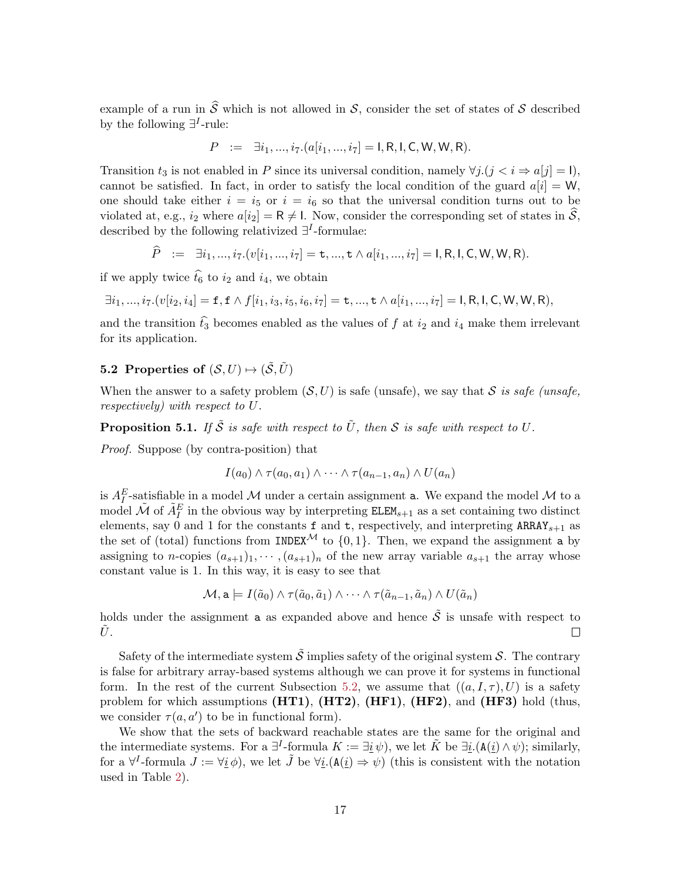example of a run in  $\hat{S}$  which is not allowed in S, consider the set of states of S described by the following  $\exists^{I}$ -rule:

$$
P := \exists i_1, ..., i_7. (a[i_1, ..., i_7] = I, R, I, C, W, W, R).
$$

Transition  $t_3$  is not enabled in P since its universal condition, namely  $\forall j$ . $(j < i \Rightarrow a[j] = 1)$ , cannot be satisfied. In fact, in order to satisfy the local condition of the guard  $a[i] = W$ , one should take either  $i = i_5$  or  $i = i_6$  so that the universal condition turns out to be violated at, e.g.,  $i_2$  where  $a[i_2] = \mathsf{R} \neq \mathsf{I}$ . Now, consider the corresponding set of states in  $\widehat{\mathcal{S}}$ , described by the following relativized  $\exists^{I}$ -formulae:

$$
\tilde{P} := \exists i_1, ..., i_7. (v[i_1, ..., i_7] = \mathbf{t}, ..., \mathbf{t} \land a[i_1, ..., i_7] = \mathbf{I}, \mathsf{R}, \mathsf{I}, \mathsf{C}, \mathsf{W}, \mathsf{W}, \mathsf{R}).
$$

if we apply twice  $\hat{t}_6$  to  $i_2$  and  $i_4$ , we obtain

$$
\exists i_1, ..., i_7. (v[i_2, i_4] = \texttt{f}, \texttt{f} \wedge f[i_1, i_3, i_5, i_6, i_7] = \texttt{t}, ..., \texttt{t} \wedge a[i_1, ..., i_7] = \texttt{I}, \texttt{R}, \texttt{I}, \texttt{C}, \texttt{W}, \texttt{W}, \texttt{R}),
$$

and the transition  $\hat{t}_3$  becomes enabled as the values of f at  $i_2$  and  $i_4$  make them irrelevant for its application.

## <span id="page-16-0"></span>**5.2** Properties of  $(S, U) \mapsto (\tilde{S}, \tilde{U})$

When the answer to a safety problem  $(S, U)$  is safe (unsafe), we say that S is safe (unsafe, respectively) with respect to U.

**Proposition 5.1.** If  $\tilde{S}$  is safe with respect to  $\tilde{U}$ , then S is safe with respect to U.

Proof. Suppose (by contra-position) that

$$
I(a_0) \wedge \tau(a_0, a_1) \wedge \cdots \wedge \tau(a_{n-1}, a_n) \wedge U(a_n)
$$

is  $A_I^E$ -satisfiable in a model M under a certain assignment **a**. We expand the model M to a model  $\tilde{\mathcal{M}}$  of  $\tilde{A}^E_I$  in the obvious way by interpreting ELEM<sub>s+1</sub> as a set containing two distinct elements, say 0 and 1 for the constants f and t, respectively, and interpreting  $ARRAY_{s+1}$  as the set of (total) functions from INDEX<sup>M</sup> to  $\{0,1\}$ . Then, we expand the assignment a by assigning to *n*-copies  $(a_{s+1})_1, \cdots, (a_{s+1})_n$  of the new array variable  $a_{s+1}$  the array whose constant value is 1. In this way, it is easy to see that

$$
\mathcal{M},\mathbf{a}\models I(\tilde{a}_0)\wedge \tau(\tilde{a}_0,\tilde{a}_1)\wedge \cdots \wedge \tau(\tilde{a}_{n-1},\tilde{a}_n)\wedge U(\tilde{a}_n)
$$

holds under the assignment a as expanded above and hence  $\tilde{S}$  is unsafe with respect to  $\hat{U}$ .  $\Box$ 

Safety of the intermediate system  $\tilde{\mathcal{S}}$  implies safety of the original system  $\mathcal{S}$ . The contrary is false for arbitrary array-based systems although we can prove it for systems in functional form. In the rest of the current Subsection [5.2,](#page-16-0) we assume that  $((a, I, \tau), U)$  is a safety problem for which assumptions  $(HT1)$ ,  $(HT2)$ ,  $(HF1)$ ,  $(HF2)$ , and  $(HF3)$  hold (thus, we consider  $\tau(a, a')$  to be in functional form).

<span id="page-16-1"></span>We show that the sets of backward reachable states are the same for the original and the intermediate systems. For a  $\exists^{I}$ -formula  $K := \exists \underline{i} \psi$ , we let  $\tilde{K}$  be  $\exists \underline{i} \cdot (\mathtt{A}(\underline{i}) \wedge \psi)$ ; similarly, for a  $\forall^{I}$ -formula  $J := \forall \underline{i} \phi$ , we let  $\tilde{J}$  be  $\forall \underline{i} \cdot (\mathbf{A}(\underline{i}) \Rightarrow \psi)$  (this is consistent with the notation used in Table [2\)](#page-11-0).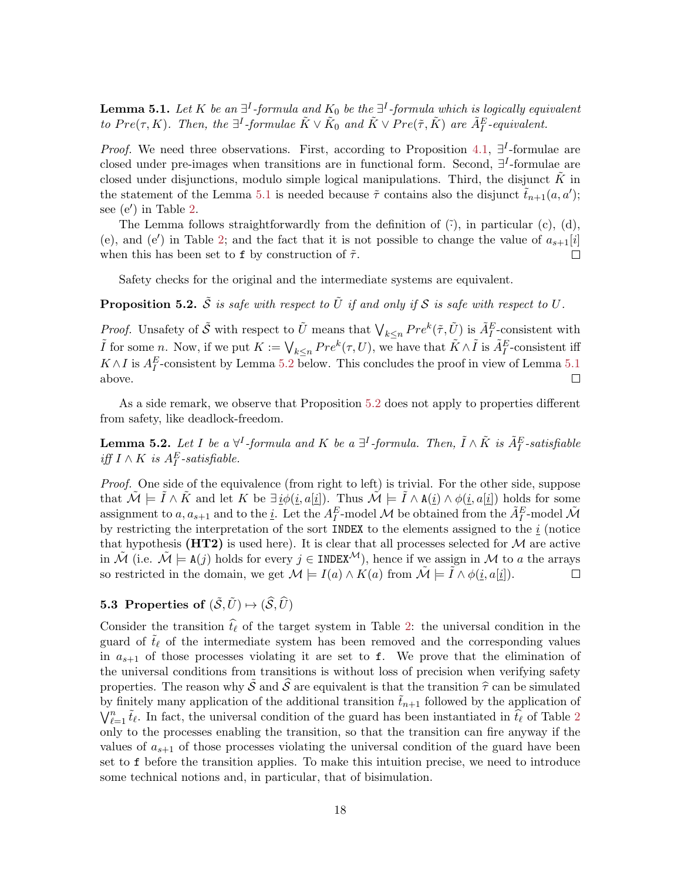**Lemma 5.1.** Let K be an  $\exists^{I}$ -formula and  $K_{0}$  be the  $\exists^{I}$ -formula which is logically equivalent to  $Pre(\tau, K)$ . Then, the  $\exists^I$ -formulae  $\tilde{K} \vee \tilde{K}_0$  and  $\tilde{K} \vee Pre(\tilde{\tau}, \tilde{K})$  are  $\tilde{A}_I^E$ -equivalent.

*Proof.* We need three observations. First, according to Proposition [4.1,](#page-8-2)  $\exists^{I}$ -formulae are closed under pre-images when transitions are in functional form. Second,  $\exists^{I}$ -formulae are closed under disjunctions, modulo simple logical manipulations. Third, the disjunct  $K$  in the statement of the Lemma [5.1](#page-16-1) is needed because  $\tilde{\tau}$  contains also the disjunct  $\tilde{t}_{n+1}(a, a')$ ; see  $(e')$  in Table [2.](#page-11-0)

The Lemma follows straightforwardly from the definition of  $(\tilde{\cdot})$ , in particular (c), (d), (e), and (e') in Table [2;](#page-11-0) and the fact that it is not possible to change the value of  $a_{s+1}[i]$ when this has been set to f by construction of  $\tilde{\tau}$ .  $\Box$ 

Safety checks for the original and the intermediate systems are equivalent.

<span id="page-17-1"></span>**Proposition 5.2.**  $\tilde{S}$  is safe with respect to  $\tilde{U}$  if and only if S is safe with respect to U.

*Proof.* Unsafety of  $\tilde{S}$  with respect to  $\tilde{U}$  means that  $\bigvee_{k\leq n}Pre^k(\tilde{\tau},\tilde{U})$  is  $\tilde{A}_I^E$ -consistent with  $\tilde{I}$  for some n. Now, if we put  $K := \bigvee_{k \leq n} Pre^k(\tau, U)$ , we have that  $\tilde{K} \wedge \tilde{I}$  is  $\tilde{A}_I^E$ -consistent iff  $K \wedge I$  is  $A_I^E$ -consistent by Lemma [5.2](#page-17-2) below. This concludes the proof in view of Lemma [5.1](#page-16-1)  $\Box$ above.

As a side remark, we observe that Proposition [5.2](#page-17-1) does not apply to properties different from safety, like deadlock-freedom.

<span id="page-17-2"></span>**Lemma 5.2.** Let I be a  $\forall^{I}$ -formula and K be a  $\exists^{I}$ -formula. Then,  $\tilde{I} \wedge \tilde{K}$  is  $\tilde{A}_{I}^{E}$ -satisfiable *iff*  $I \wedge K$  *is A*<sup>E</sup>-satisfiable.

Proof. One side of the equivalence (from right to left) is trivial. For the other side, suppose that  $\tilde{\mathcal{M}} \models \tilde{I} \wedge \tilde{K}$  and let K be  $\exists \underline{i} \phi(\underline{i}, a[\underline{i}])$ . Thus  $\tilde{\mathcal{M}} \models \tilde{I} \wedge A(\underline{i}) \wedge \phi(\underline{i}, a[\underline{i}])$  holds for some assignment to  $a, a_{s+1}$  and to the  $\underline{i}$ . Let the  $A_I^E$ -model  $\mathcal M$  be obtained from the  $\tilde{A}_I^E$ -model  $\tilde{\mathcal M}$ by restricting the interpretation of the sort INDEX to the elements assigned to the  $i$  (notice that hypothesis ( $HT2$ ) is used here). It is clear that all processes selected for M are active in  $\tilde{\mathcal{M}}$  (i.e.  $\tilde{\mathcal{M}} \models A(j)$  holds for every  $j \in \text{INDEX}^{\mathcal{M}}$ ), hence if we assign in M to a the arrays so restricted in the domain, we get  $\mathcal{M} \models I(a) \wedge K(a)$  from  $\tilde{\mathcal{M}} \models \tilde{I} \wedge \phi(i, a[i])$ .  $\Box$ 

## <span id="page-17-0"></span>**5.3 Properties of**  $(\tilde{\mathcal{S}}, \tilde{U}) \mapsto (\widehat{\mathcal{S}}, \widehat{U})$

Consider the transition  $\hat{t}_{\ell}$  of the target system in Table [2:](#page-11-0) the universal condition in the guard of  $\tilde{t}_\ell$  of the intermediate system has been removed and the corresponding values in  $a_{s+1}$  of those processes violating it are set to f. We prove that the elimination of the universal conditions from transitions is without loss of precision when verifying safety properties. The reason why  $\tilde{S}$  and  $\hat{S}$  are equivalent is that the transition  $\hat{\tau}$  can be simulated by finitely many application of the additional transition  $t_{n+1}$  followed by the application of  $\bigvee_{\ell=1}^n \tilde{t}_{\ell}$ . In fact, the universal condition of the guard has been instantiated in  $\tilde{t}_{\ell}$  of Table [2](#page-11-0) only to the processes enabling the transition, so that the transition can fire anyway if the values of  $a_{s+1}$  of those processes violating the universal condition of the guard have been set to f before the transition applies. To make this intuition precise, we need to introduce some technical notions and, in particular, that of bisimulation.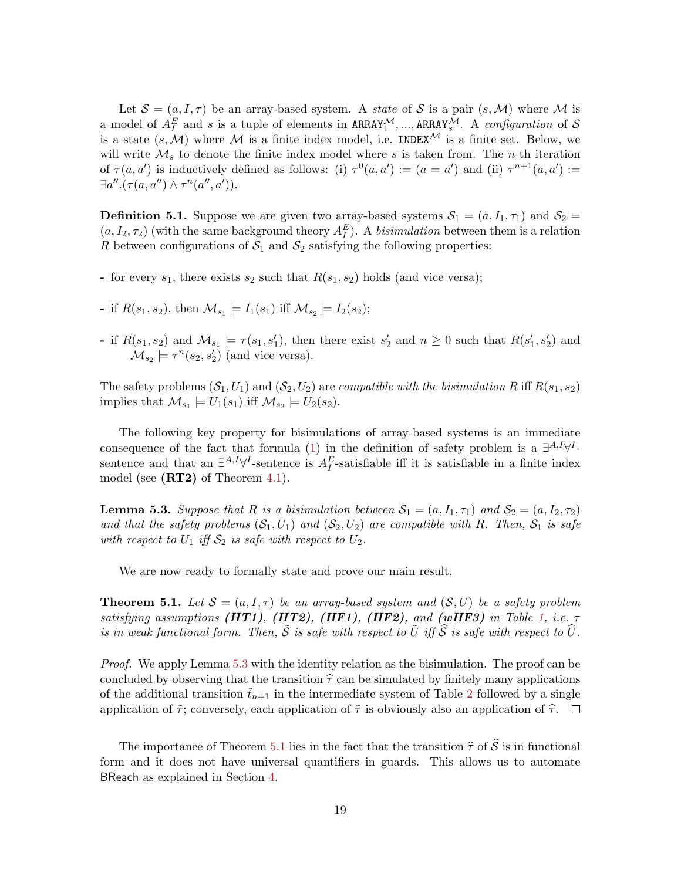Let  $S = (a, I, \tau)$  be an array-based system. A *state* of S is a pair  $(s, M)$  where M is a model of  $A_I^E$  and s is a tuple of elements in  $ARRAY_1^{\mathcal{M}},...,ARRAY_s^{\mathcal{M}}.$  A configuration of S is a state  $(s, \mathcal{M})$  where M is a finite index model, i.e. INDEX<sup>M</sup> is a finite set. Below, we will write  $\mathcal{M}_s$  to denote the finite index model where s is taken from. The n-th iteration of  $\tau(a, a')$  is inductively defined as follows: (i)  $\tau^{0}(a, a') := (a = a')$  and (ii)  $\tau^{n+1}(a, a') :=$  $\exists a''.(\tau(a,a'') \wedge \tau^n(a'',a')).$ 

**Definition 5.1.** Suppose we are given two array-based systems  $S_1 = (a, I_1, \tau_1)$  and  $S_2 =$  $(a, I_2, \tau_2)$  (with the same background theory  $A_I^E$ ). A *bisimulation* between them is a relation R between configurations of  $S_1$  and  $S_2$  satisfying the following properties:

- for every  $s_1$ , there exists  $s_2$  such that  $R(s_1, s_2)$  holds (and vice versa);
- if  $R(s_1, s_2)$ , then  $\mathcal{M}_{s_1} \models I_1(s_1)$  iff  $\mathcal{M}_{s_2} \models I_2(s_2)$ ;
- if  $R(s_1, s_2)$  and  $\mathcal{M}_{s_1} \models \tau(s_1, s'_1)$ , then there exist  $s'_2$  and  $n \geq 0$  such that  $R(s'_1, s'_2)$  and  $\mathcal{M}_{s_2} \models \tau^n(s_2, s_2')$  (and vice versa).

The safety problems  $(S_1, U_1)$  and  $(S_2, U_2)$  are compatible with the bisimulation R iff  $R(s_1, s_2)$ implies that  $\mathcal{M}_{s_1} \models U_1(s_1)$  iff  $\mathcal{M}_{s_2} \models U_2(s_2)$ .

The following key property for bisimulations of array-based systems is an immediate consequence of the fact that formula [\(1\)](#page-4-1) in the definition of safety problem is a  $\exists^{A,I}\forall^{I}$ sentence and that an  $\exists^{A,I}\forall^{I}$ -sentence is  $A_I^E$ -satisfiable if it is satisfiable in a finite index model (see  $(RT2)$  of Theorem [4.1\)](#page-7-1).

<span id="page-18-1"></span>**Lemma 5.3.** Suppose that R is a bisimulation between  $S_1 = (a, I_1, \tau_1)$  and  $S_2 = (a, I_2, \tau_2)$ and that the safety problems  $(S_1, U_1)$  and  $(S_2, U_2)$  are compatible with R. Then,  $S_1$  is safe with respect to  $U_1$  iff  $S_2$  is safe with respect to  $U_2$ .

We are now ready to formally state and prove our main result.

<span id="page-18-0"></span>**Theorem 5.1.** Let  $S = (a, I, \tau)$  be an array-based system and  $(S, U)$  be a safety problem satisfying assumptions (HT1), (HT2), (HF1), (HF2), and (wHF3) in Table [1,](#page-8-0) i.e.  $\tau$ is in weak functional form. Then,  $\tilde{S}$  is safe with respect to  $\tilde{U}$  iff  $\tilde{S}$  is safe with respect to  $\tilde{U}$ .

Proof. We apply Lemma [5.3](#page-18-1) with the identity relation as the bisimulation. The proof can be concluded by observing that the transition  $\hat{\tau}$  can be simulated by finitely many applications of the additional transition  $t_{n+1}$  in the intermediate system of Table [2](#page-11-0) followed by a single application of  $\tilde{\tau}$ ; conversely, each application of  $\tilde{\tau}$  is obviously also an application of  $\hat{\tau}$ .

The importance of Theorem [5.1](#page-18-0) lies in the fact that the transition  $\hat{\tau}$  of  $\hat{\mathcal{S}}$  is in functional form and it does not have universal quantifiers in guards. This allows us to automate BReach as explained in Section [4.](#page-6-0)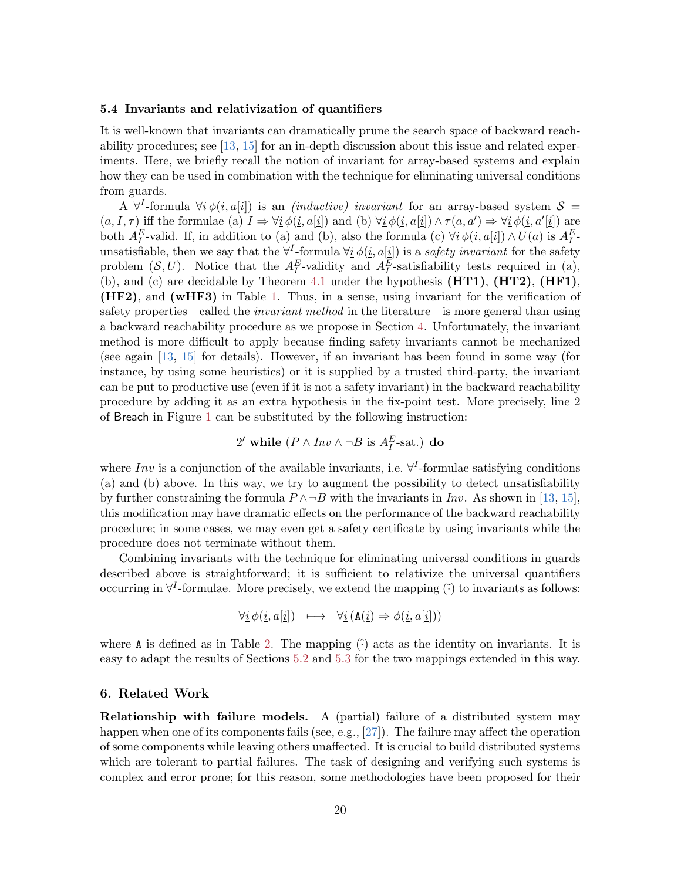#### <span id="page-19-1"></span>5.4 Invariants and relativization of quantifiers

It is well-known that invariants can dramatically prune the search space of backward reachability procedures; see  $[13, 15]$  $[13, 15]$  $[13, 15]$  for an in-depth discussion about this issue and related experiments. Here, we briefly recall the notion of invariant for array-based systems and explain how they can be used in combination with the technique for eliminating universal conditions from guards.

A  $\forall^{I}$ -formula  $\forall i \phi(i, a[i])$  is an *(inductive) invariant* for an array-based system  $S =$  $(a, I, \tau)$  iff the formulae (a)  $I \Rightarrow \forall \underline{i} \phi(\underline{i}, a[\underline{i}])$  and (b)  $\forall \underline{i} \phi(\underline{i}, a[\underline{i}]) \wedge \tau(a, a') \Rightarrow \forall \underline{i} \phi(\underline{i}, a'[\underline{i}])$  are both  $A_I^E$ -valid. If, in addition to (a) and (b), also the formula (c)  $\forall \underline{i} \phi(\underline{i}, a[\underline{i}]) \wedge U(a)$  is  $A_I^E$ unsatisfiable, then we say that the  $\forall^{I}$ -formula  $\forall \underline{i} \phi(i, a[\underline{i}])$  is a *safety invariant* for the safety problem  $(S, U)$ . Notice that the  $A_I^E$ -validity and  $A_I^E$ -satisfiability tests required in (a), (b), and (c) are decidable by Theorem [4.1](#page-7-1) under the hypothesis (HT1), (HT2), (HF1), (HF2), and (wHF3) in Table [1.](#page-8-0) Thus, in a sense, using invariant for the verification of safety properties—called the *invariant method* in the literature—is more general than using a backward reachability procedure as we propose in Section [4.](#page-6-0) Unfortunately, the invariant method is more difficult to apply because finding safety invariants cannot be mechanized (see again [\[13,](#page-31-2) [15\]](#page-31-0) for details). However, if an invariant has been found in some way (for instance, by using some heuristics) or it is supplied by a trusted third-party, the invariant can be put to productive use (even if it is not a safety invariant) in the backward reachability procedure by adding it as an extra hypothesis in the fix-point test. More precisely, line 2 of Breach in Figure [1](#page-6-1) can be substituted by the following instruction:

## 2' while  $(P \wedge Inv \wedge \neg B$  is  $A_I^E$ -sat.) do

where Inv is a conjunction of the available invariants, i.e.  $\forall^{I}$ -formulae satisfying conditions (a) and (b) above. In this way, we try to augment the possibility to detect unsatisfiability by further constraining the formula  $P \wedge \neg B$  with the invariants in Inv. As shown in [\[13,](#page-31-2) [15\]](#page-31-0), this modification may have dramatic effects on the performance of the backward reachability procedure; in some cases, we may even get a safety certificate by using invariants while the procedure does not terminate without them.

Combining invariants with the technique for eliminating universal conditions in guards described above is straightforward; it is sufficient to relativize the universal quantifiers occurring in  $\forall^{I}$ -formulae. More precisely, we extend the mapping ( $\tilde{\cdot}$ ) to invariants as follows:

$$
\forall \underline{i} \ \phi(\underline{i}, a[\underline{i}]) \quad \longmapsto \quad \forall \underline{i} \ (\mathbf{A}(\underline{i}) \Rightarrow \phi(\underline{i}, a[\underline{i}]))
$$

where A is defined as in Table [2.](#page-11-0) The mapping  $(\hat{\cdot})$  acts as the identity on invariants. It is easy to adapt the results of Sections [5.2](#page-16-0) and [5.3](#page-17-0) for the two mappings extended in this way.

### <span id="page-19-0"></span>6. Related Work

Relationship with failure models. A (partial) failure of a distributed system may happen when one of its components fails (see, e.g.,  $[27]$ ). The failure may affect the operation of some components while leaving others unaffected. It is crucial to build distributed systems which are tolerant to partial failures. The task of designing and verifying such systems is complex and error prone; for this reason, some methodologies have been proposed for their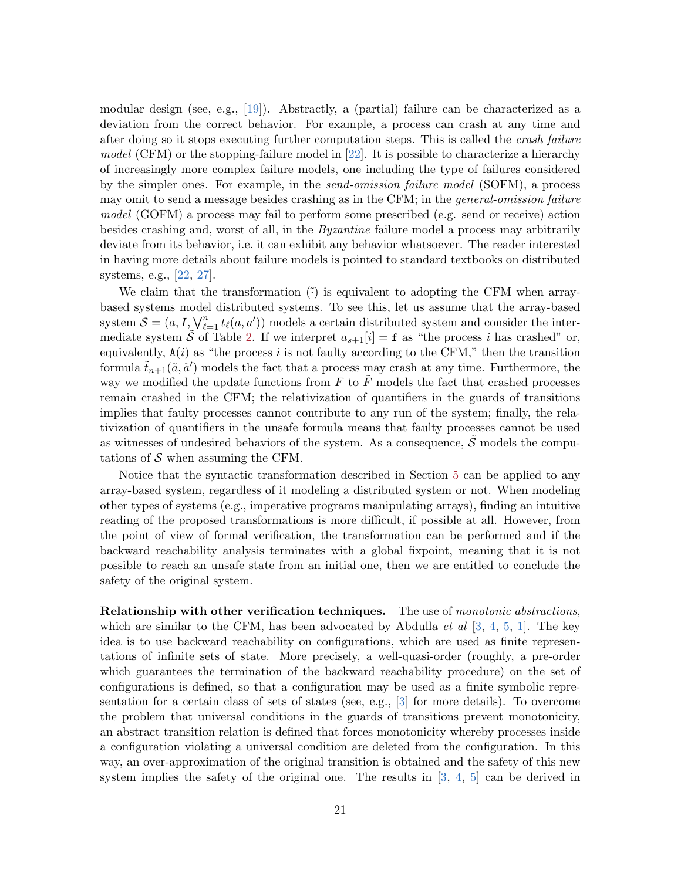modular design (see, e.g., [\[19\]](#page-31-8)). Abstractly, a (partial) failure can be characterized as a deviation from the correct behavior. For example, a process can crash at any time and after doing so it stops executing further computation steps. This is called the *crash failure* model (CFM) or the stopping-failure model in  $[22]$ . It is possible to characterize a hierarchy of increasingly more complex failure models, one including the type of failures considered by the simpler ones. For example, in the *send-omission failure model* (SOFM), a process may omit to send a message besides crashing as in the CFM; in the *general-omission failure* model (GOFM) a process may fail to perform some prescribed (e.g. send or receive) action besides crashing and, worst of all, in the Byzantine failure model a process may arbitrarily deviate from its behavior, i.e. it can exhibit any behavior whatsoever. The reader interested in having more details about failure models is pointed to standard textbooks on distributed systems, e.g., [\[22,](#page-31-4) [27\]](#page-32-0).

We claim that the transformation  $\tilde{\cdot}$  is equivalent to adopting the CFM when arraybased systems model distributed systems. To see this, let us assume that the array-based system  $S = (a, I, \bigvee_{\ell=1}^n t_\ell(a, a'))$  models a certain distributed system and consider the intermediate system  $\tilde{\mathcal{S}}$  of Table [2.](#page-11-0) If we interpret  $a_{s+1}[i] = \mathbf{f}$  as "the process i has crashed" or, equivalently,  $A(i)$  as "the process i is not faulty according to the CFM," then the transition formula  $\tilde{t}_{n+1}(\tilde{a}, \tilde{a}')$  models the fact that a process may crash at any time. Furthermore, the way we modified the update functions from  $F$  to  $\tilde{F}$  models the fact that crashed processes remain crashed in the CFM; the relativization of quantifiers in the guards of transitions implies that faulty processes cannot contribute to any run of the system; finally, the relativization of quantifiers in the unsafe formula means that faulty processes cannot be used as witnesses of undesired behaviors of the system. As a consequence,  $\tilde{\mathcal{S}}$  models the computations of  $S$  when assuming the CFM.

Notice that the syntactic transformation described in Section [5](#page-10-0) can be applied to any array-based system, regardless of it modeling a distributed system or not. When modeling other types of systems (e.g., imperative programs manipulating arrays), finding an intuitive reading of the proposed transformations is more difficult, if possible at all. However, from the point of view of formal verification, the transformation can be performed and if the backward reachability analysis terminates with a global fixpoint, meaning that it is not possible to reach an unsafe state from an initial one, then we are entitled to conclude the safety of the original system.

Relationship with other verification techniques. The use of monotonic abstractions, which are similar to the CFM, has been advocated by Abdulla *et al* [\[3,](#page-30-0) [4,](#page-30-1) [5,](#page-30-2) [1\]](#page-30-3). The key idea is to use backward reachability on configurations, which are used as finite representations of infinite sets of state. More precisely, a well-quasi-order (roughly, a pre-order which guarantees the termination of the backward reachability procedure) on the set of configurations is defined, so that a configuration may be used as a finite symbolic representation for a certain class of sets of states (see, e.g., [\[3\]](#page-30-0) for more details). To overcome the problem that universal conditions in the guards of transitions prevent monotonicity, an abstract transition relation is defined that forces monotonicity whereby processes inside a configuration violating a universal condition are deleted from the configuration. In this way, an over-approximation of the original transition is obtained and the safety of this new system implies the safety of the original one. The results in  $[3, 4, 5]$  $[3, 4, 5]$  $[3, 4, 5]$  $[3, 4, 5]$  $[3, 4, 5]$  can be derived in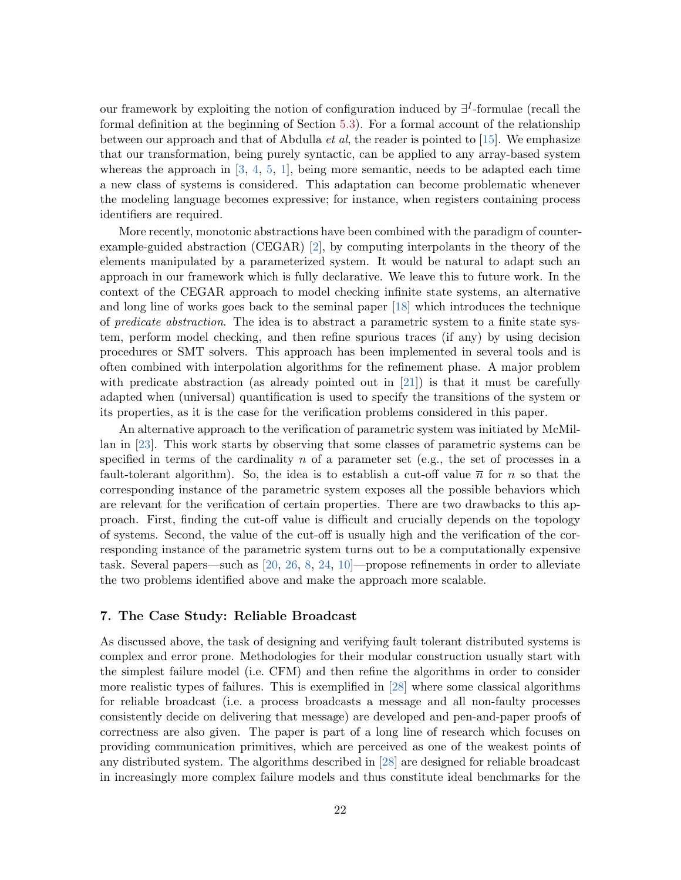our framework by exploiting the notion of configuration induced by  $\exists^{I}$ -formulae (recall the formal definition at the beginning of Section [5.3\)](#page-17-0). For a formal account of the relationship between our approach and that of Abdulla et al, the reader is pointed to [\[15\]](#page-31-0). We emphasize that our transformation, being purely syntactic, can be applied to any array-based system whereas the approach in  $[3, 4, 5, 1]$  $[3, 4, 5, 1]$  $[3, 4, 5, 1]$  $[3, 4, 5, 1]$  $[3, 4, 5, 1]$  $[3, 4, 5, 1]$  $[3, 4, 5, 1]$ , being more semantic, needs to be adapted each time a new class of systems is considered. This adaptation can become problematic whenever the modeling language becomes expressive; for instance, when registers containing process identifiers are required.

More recently, monotonic abstractions have been combined with the paradigm of counterexample-guided abstraction (CEGAR) [\[2\]](#page-30-6), by computing interpolants in the theory of the elements manipulated by a parameterized system. It would be natural to adapt such an approach in our framework which is fully declarative. We leave this to future work. In the context of the CEGAR approach to model checking infinite state systems, an alternative and long line of works goes back to the seminal paper [\[18\]](#page-31-9) which introduces the technique of predicate abstraction. The idea is to abstract a parametric system to a finite state system, perform model checking, and then refine spurious traces (if any) by using decision procedures or SMT solvers. This approach has been implemented in several tools and is often combined with interpolation algorithms for the refinement phase. A major problem with predicate abstraction (as already pointed out in [\[21\]](#page-31-10)) is that it must be carefully adapted when (universal) quantification is used to specify the transitions of the system or its properties, as it is the case for the verification problems considered in this paper.

An alternative approach to the verification of parametric system was initiated by McMillan in [\[23\]](#page-32-3). This work starts by observing that some classes of parametric systems can be specified in terms of the cardinality n of a parameter set (e.g., the set of processes in a fault-tolerant algorithm). So, the idea is to establish a cut-off value  $\bar{n}$  for n so that the corresponding instance of the parametric system exposes all the possible behaviors which are relevant for the verification of certain properties. There are two drawbacks to this approach. First, finding the cut-off value is difficult and crucially depends on the topology of systems. Second, the value of the cut-off is usually high and the verification of the corresponding instance of the parametric system turns out to be a computationally expensive task. Several papers—such as [\[20,](#page-31-11) [26,](#page-32-4) [8,](#page-31-12) [24,](#page-32-5) [10\]](#page-31-13)—propose refinements in order to alleviate the two problems identified above and make the approach more scalable.

## <span id="page-21-0"></span>7. The Case Study: Reliable Broadcast

As discussed above, the task of designing and verifying fault tolerant distributed systems is complex and error prone. Methodologies for their modular construction usually start with the simplest failure model (i.e. CFM) and then refine the algorithms in order to consider more realistic types of failures. This is exemplified in [\[28\]](#page-32-1) where some classical algorithms for reliable broadcast (i.e. a process broadcasts a message and all non-faulty processes consistently decide on delivering that message) are developed and pen-and-paper proofs of correctness are also given. The paper is part of a long line of research which focuses on providing communication primitives, which are perceived as one of the weakest points of any distributed system. The algorithms described in [\[28\]](#page-32-1) are designed for reliable broadcast in increasingly more complex failure models and thus constitute ideal benchmarks for the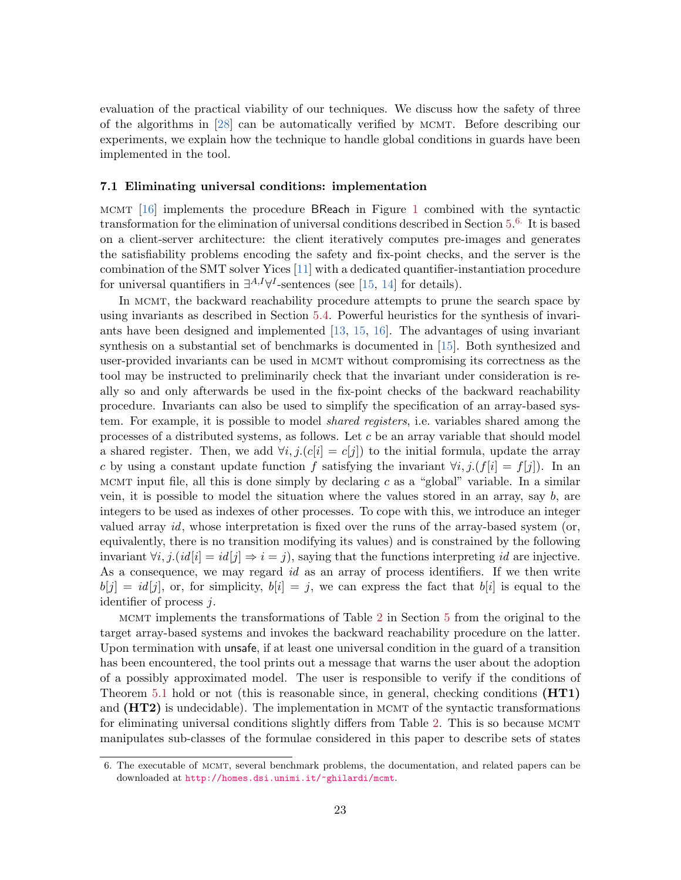evaluation of the practical viability of our techniques. We discuss how the safety of three of the algorithms in [\[28\]](#page-32-1) can be automatically verified by mcmt. Before describing our experiments, we explain how the technique to handle global conditions in guards have been implemented in the tool.

#### <span id="page-22-1"></span>7.1 Eliminating universal conditions: implementation

MCMT  $[16]$  implements the procedure BReach in Figure [1](#page-6-1) combined with the syntactic transformation for the elimination of universal conditions described in Section [5.](#page-10-0) [6.](#page-22-0) It is based on a client-server architecture: the client iteratively computes pre-images and generates the satisfiability problems encoding the safety and fix-point checks, and the server is the combination of the SMT solver Yices [\[11\]](#page-31-14) with a dedicated quantifier-instantiation procedure for universal quantifiers in  $\exists^{A,I} \forall^{I}$ -sentences (see [\[15,](#page-31-0) [14\]](#page-31-15) for details).

In MCMT, the backward reachability procedure attempts to prune the search space by using invariants as described in Section [5.4.](#page-19-1) Powerful heuristics for the synthesis of invariants have been designed and implemented [\[13,](#page-31-2) [15,](#page-31-0) [16\]](#page-31-3). The advantages of using invariant synthesis on a substantial set of benchmarks is documented in [\[15\]](#page-31-0). Both synthesized and user-provided invariants can be used in mcmt without compromising its correctness as the tool may be instructed to preliminarily check that the invariant under consideration is really so and only afterwards be used in the fix-point checks of the backward reachability procedure. Invariants can also be used to simplify the specification of an array-based system. For example, it is possible to model shared registers, i.e. variables shared among the processes of a distributed systems, as follows. Let c be an array variable that should model a shared register. Then, we add  $\forall i, j. (c[i] = c[j])$  to the initial formula, update the array c by using a constant update function f satisfying the invariant  $\forall i, j. (f[i] = f[j])$ . In an MCMT input file, all this is done simply by declaring  $c$  as a "global" variable. In a similar vein, it is possible to model the situation where the values stored in an array, say  $b$ , are integers to be used as indexes of other processes. To cope with this, we introduce an integer valued array id, whose interpretation is fixed over the runs of the array-based system (or, equivalently, there is no transition modifying its values) and is constrained by the following invariant  $\forall i, j. (id[i] = id[j] \Rightarrow i = j)$ , saying that the functions interpreting id are injective. As a consequence, we may regard id as an array of process identifiers. If we then write  $b[j] = id[j]$ , or, for simplicity,  $b[i] = j$ , we can express the fact that  $b[i]$  is equal to the identifier of process  $j$ .

mcmt implements the transformations of Table [2](#page-11-0) in Section [5](#page-10-0) from the original to the target array-based systems and invokes the backward reachability procedure on the latter. Upon termination with unsafe, if at least one universal condition in the guard of a transition has been encountered, the tool prints out a message that warns the user about the adoption of a possibly approximated model. The user is responsible to verify if the conditions of Theorem [5.1](#page-18-0) hold or not (this is reasonable since, in general, checking conditions (HT1) and  $(HT2)$  is undecidable). The implementation in MCMT of the syntactic transformations for eliminating universal conditions slightly differs from Table [2.](#page-11-0) This is so because MCMT manipulates sub-classes of the formulae considered in this paper to describe sets of states

<span id="page-22-0"></span><sup>6.</sup> The executable of mcmt, several benchmark problems, the documentation, and related papers can be downloaded at <http://homes.dsi.unimi.it/~ghilardi/mcmt>.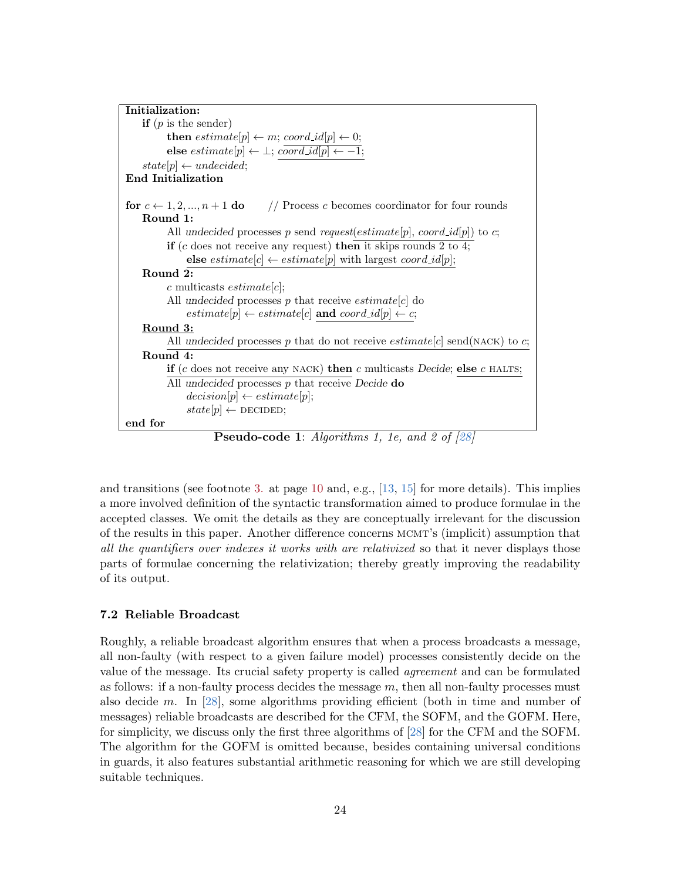| Initialization:                                                                         |  |  |  |  |
|-----------------------------------------------------------------------------------------|--|--|--|--|
| <b>if</b> $(p$ is the sender)                                                           |  |  |  |  |
| <b>then</b> estimate[p] $\leftarrow m$ ; coord_id[p] $\leftarrow 0$ ;                   |  |  |  |  |
| else $estimate[p] \leftarrow \bot$ ; $coord_id[p] \leftarrow -1$ ;                      |  |  |  |  |
| $state[p] \leftarrow undecided;$                                                        |  |  |  |  |
| End Initialization                                                                      |  |  |  |  |
|                                                                                         |  |  |  |  |
| for $c \leftarrow 1, 2, , n + 1$ do // Process c becomes coordinator for four rounds    |  |  |  |  |
| Round 1:                                                                                |  |  |  |  |
| All undecided processes p send request (estimate $[p]$ , coord id $[p]$ ) to c;         |  |  |  |  |
| if ( $c$ does not receive any request) then it skips rounds 2 to 4;                     |  |  |  |  |
| else $estimate[c] \leftarrow estimate[p]$ with largest $coord_id[p]$ ;                  |  |  |  |  |
| Round 2:                                                                                |  |  |  |  |
| c multicasts $estimate[c];$                                                             |  |  |  |  |
| All undecided processes $p$ that receive <i>estimate</i> $ c $ do                       |  |  |  |  |
| $estimate[p] \leftarrow estimate[c]$ and $coord_id[p] \leftarrow c;$                    |  |  |  |  |
| Round 3:                                                                                |  |  |  |  |
| All undecided processes $p$ that do not receive <i>estimate</i> [c] send(NACK) to $c$ ; |  |  |  |  |
| Round 4:                                                                                |  |  |  |  |
| if (c does not receive any NACK) then c multicasts Decide; else c HALTS;                |  |  |  |  |
| All undecided processes $p$ that receive Decide do                                      |  |  |  |  |
| $decision[p] \leftarrow estimate[p];$                                                   |  |  |  |  |
| $state[p] \leftarrow$ DECIDED;                                                          |  |  |  |  |
| end for                                                                                 |  |  |  |  |

Pseudo-code 1: Algorithms 1, 1e, and 2 of [\[28\]](#page-32-1)

and transitions (see footnote [3.](#page-9-0) at page [10](#page-9-0) and, e.g., [\[13,](#page-31-2) [15\]](#page-31-0) for more details). This implies a more involved definition of the syntactic transformation aimed to produce formulae in the accepted classes. We omit the details as they are conceptually irrelevant for the discussion of the results in this paper. Another difference concerns mcmt's (implicit) assumption that all the quantifiers over indexes it works with are relativized so that it never displays those parts of formulae concerning the relativization; thereby greatly improving the readability of its output.

#### 7.2 Reliable Broadcast

<span id="page-23-0"></span>Roughly, a reliable broadcast algorithm ensures that when a process broadcasts a message, all non-faulty (with respect to a given failure model) processes consistently decide on the value of the message. Its crucial safety property is called agreement and can be formulated as follows: if a non-faulty process decides the message  $m$ , then all non-faulty processes must also decide m. In [\[28\]](#page-32-1), some algorithms providing efficient (both in time and number of messages) reliable broadcasts are described for the CFM, the SOFM, and the GOFM. Here, for simplicity, we discuss only the first three algorithms of [\[28\]](#page-32-1) for the CFM and the SOFM. The algorithm for the GOFM is omitted because, besides containing universal conditions in guards, it also features substantial arithmetic reasoning for which we are still developing suitable techniques.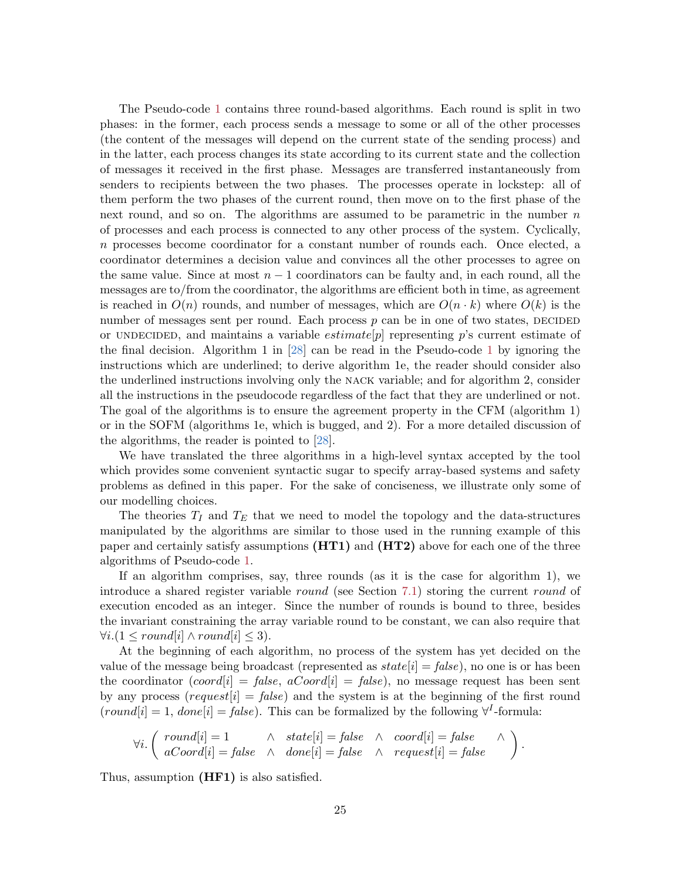The Pseudo-code [1](#page-23-0) contains three round-based algorithms. Each round is split in two phases: in the former, each process sends a message to some or all of the other processes (the content of the messages will depend on the current state of the sending process) and in the latter, each process changes its state according to its current state and the collection of messages it received in the first phase. Messages are transferred instantaneously from senders to recipients between the two phases. The processes operate in lockstep: all of them perform the two phases of the current round, then move on to the first phase of the next round, and so on. The algorithms are assumed to be parametric in the number  $n$ of processes and each process is connected to any other process of the system. Cyclically, n processes become coordinator for a constant number of rounds each. Once elected, a coordinator determines a decision value and convinces all the other processes to agree on the same value. Since at most  $n - 1$  coordinators can be faulty and, in each round, all the messages are to/from the coordinator, the algorithms are efficient both in time, as agreement is reached in  $O(n)$  rounds, and number of messages, which are  $O(n \cdot k)$  where  $O(k)$  is the number of messages sent per round. Each process  $p$  can be in one of two states, DECIDED or UNDECIDED, and maintains a variable *estimate* $[p]$  representing p's current estimate of the final decision. Algorithm 1 in [\[28\]](#page-32-1) can be read in the Pseudo-code [1](#page-23-0) by ignoring the instructions which are underlined; to derive algorithm 1e, the reader should consider also the underlined instructions involving only the nack variable; and for algorithm 2, consider all the instructions in the pseudocode regardless of the fact that they are underlined or not. The goal of the algorithms is to ensure the agreement property in the CFM (algorithm 1) or in the SOFM (algorithms 1e, which is bugged, and 2). For a more detailed discussion of the algorithms, the reader is pointed to [\[28\]](#page-32-1).

We have translated the three algorithms in a high-level syntax accepted by the tool which provides some convenient syntactic sugar to specify array-based systems and safety problems as defined in this paper. For the sake of conciseness, we illustrate only some of our modelling choices.

The theories  $T_I$  and  $T_E$  that we need to model the topology and the data-structures manipulated by the algorithms are similar to those used in the running example of this paper and certainly satisfy assumptions  $(HT1)$  and  $(HT2)$  above for each one of the three algorithms of Pseudo-code [1.](#page-23-0)

If an algorithm comprises, say, three rounds (as it is the case for algorithm 1), we introduce a shared register variable round (see Section [7.1\)](#page-22-1) storing the current round of execution encoded as an integer. Since the number of rounds is bound to three, besides the invariant constraining the array variable round to be constant, we can also require that  $\forall i. (1 \leq round[i] \wedge round[i] \leq 3).$ 

At the beginning of each algorithm, no process of the system has yet decided on the value of the message being broadcast (represented as  $state[i] = false$ ), no one is or has been the coordinator  $(cord[i] = false, aCoord[i] = false)$ , no message request has been sent by any process ( $request[i] = false$ ) and the system is at the beginning of the first round  $(round[i] = 1, done[i] = false)$ . This can be formalized by the following  $\forall^{I}$ -formula:

.

$$
\forall i. \left( \begin{array}{ccc} round[i] = 1 & \wedge & state[i] = false & \wedge & coord[i] = false & \wedge \\ aCoord[i] = false & \wedge & done[i] = false & \wedge & request[i] = false \end{array} \right)
$$

Thus, assumption (**HF1**) is also satisfied.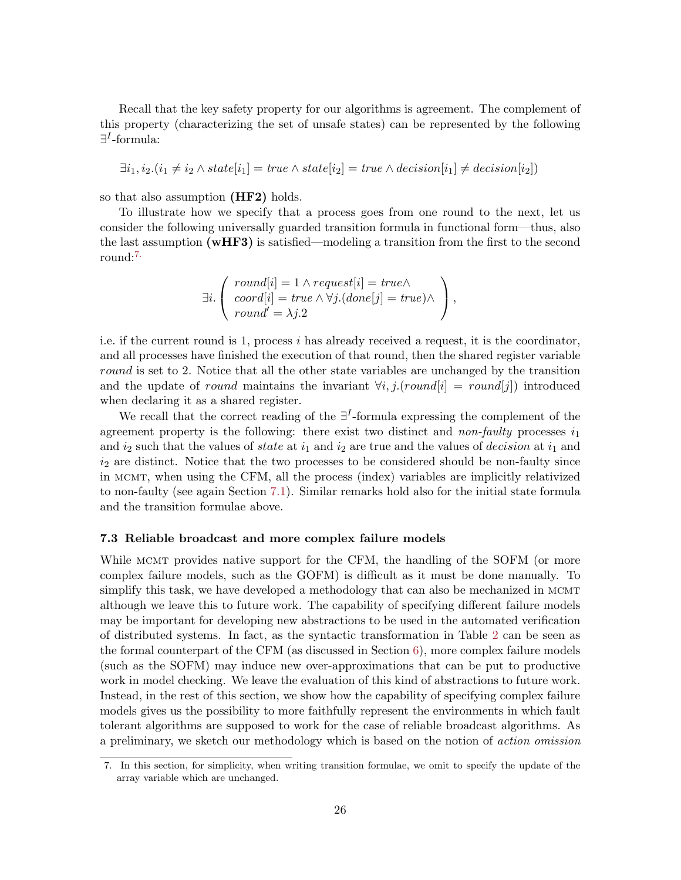Recall that the key safety property for our algorithms is agreement. The complement of this property (characterizing the set of unsafe states) can be represented by the following ∃ I -formula:

$$
\exists i_1, i_2. (i_1 \neq i_2 \land state[i_1] = true \land state[i_2] = true \land decision[i_1] \neq decision[i_2])
$$

so that also assumption (HF2) holds.

To illustrate how we specify that a process goes from one round to the next, let us consider the following universally guarded transition formula in functional form—thus, also the last assumption  $(wHF3)$  is satisfied—modeling a transition from the first to the second round:[7.](#page-25-1)

$$
\exists i. \left( \begin{array}{c} round[i] = 1 \land request[i] = true \land \\ coord[i] = true \land \forall j. (done[j] = true) \land \\ round' = \lambda j.2 \end{array} \right),
$$

i.e. if the current round is 1, process  $i$  has already received a request, it is the coordinator, and all processes have finished the execution of that round, then the shared register variable round is set to 2. Notice that all the other state variables are unchanged by the transition and the update of round maintains the invariant  $\forall i, j. (round[i] = round[j])$  introduced when declaring it as a shared register.

We recall that the correct reading of the  $\exists^{I}$ -formula expressing the complement of the agreement property is the following: there exist two distinct and non-faulty processes  $i_1$ and  $i_2$  such that the values of *state* at  $i_1$  and  $i_2$  are true and the values of *decision* at  $i_1$  and  $i_2$  are distinct. Notice that the two processes to be considered should be non-faulty since in mcmt, when using the CFM, all the process (index) variables are implicitly relativized to non-faulty (see again Section [7.1\)](#page-22-1). Similar remarks hold also for the initial state formula and the transition formulae above.

#### <span id="page-25-0"></span>7.3 Reliable broadcast and more complex failure models

While MCMT provides native support for the CFM, the handling of the SOFM (or more complex failure models, such as the GOFM) is difficult as it must be done manually. To simplify this task, we have developed a methodology that can also be mechanized in MCMT although we leave this to future work. The capability of specifying different failure models may be important for developing new abstractions to be used in the automated verification of distributed systems. In fact, as the syntactic transformation in Table [2](#page-11-0) can be seen as the formal counterpart of the CFM (as discussed in Section [6\)](#page-19-0), more complex failure models (such as the SOFM) may induce new over-approximations that can be put to productive work in model checking. We leave the evaluation of this kind of abstractions to future work. Instead, in the rest of this section, we show how the capability of specifying complex failure models gives us the possibility to more faithfully represent the environments in which fault tolerant algorithms are supposed to work for the case of reliable broadcast algorithms. As a preliminary, we sketch our methodology which is based on the notion of action omission

<span id="page-25-1"></span><sup>7.</sup> In this section, for simplicity, when writing transition formulae, we omit to specify the update of the array variable which are unchanged.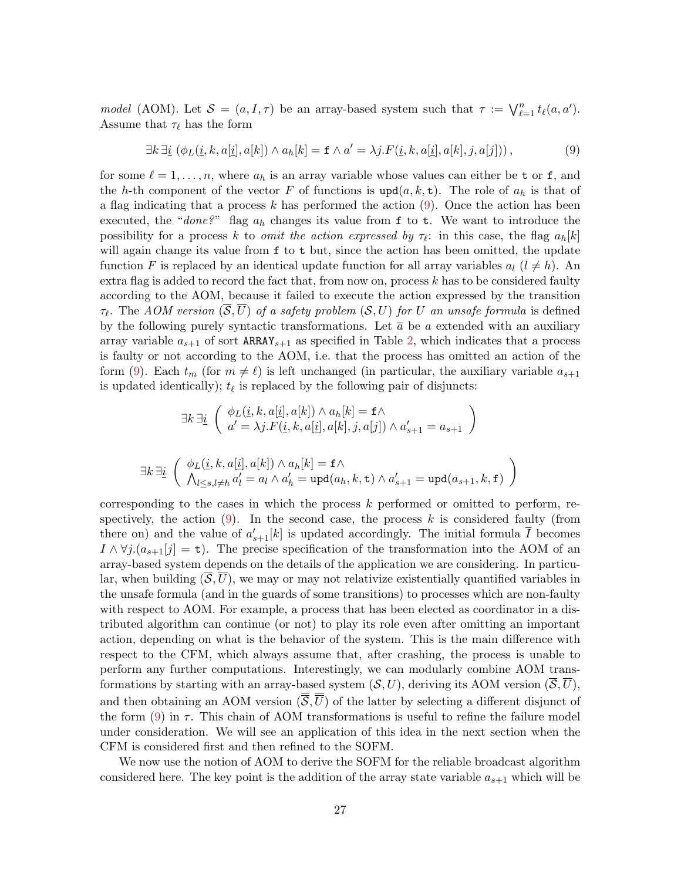model (AOM). Let  $S = (a, I, \tau)$  be an array-based system such that  $\tau := \bigvee_{\ell=1}^n t_{\ell}(a, a')$ . Assume that  $\tau_{\ell}$  has the form

<span id="page-26-0"></span>
$$
\exists k \exists \underline{i} \left( \phi_L(\underline{i}, k, a[\underline{i}], a[k]) \land a_h[k] = \mathbf{f} \land a' = \lambda j. F(\underline{i}, k, a[\underline{i}], a[k], j, a[j]) \right),\tag{9}
$$

for some  $\ell = 1, \ldots, n$ , where  $a_h$  is an array variable whose values can either be t or f, and the h-th component of the vector F of functions is  $\text{upd}(a, k, t)$ . The role of  $a_h$  is that of a flag indicating that a process  $k$  has performed the action [\(9\)](#page-26-0). Once the action has been executed, the "done?" flag  $a_h$  changes its value from f to t. We want to introduce the possibility for a process k to *omit the action expressed by*  $\tau_{\ell}$ : in this case, the flag  $a_h[k]$ will again change its value from  $f$  to  $t$  but, since the action has been omitted, the update function F is replaced by an identical update function for all array variables  $a_l$  ( $l \neq h$ ). An extra flag is added to record the fact that, from now on, process  $k$  has to be considered faulty according to the AOM, because it failed to execute the action expressed by the transition  $\tau_{\ell}$ . The AOM version  $(\mathcal{S}, U)$  of a safety problem  $(\mathcal{S}, U)$  for U an unsafe formula is defined by the following purely syntactic transformations. Let  $\bar{a}$  be a extended with an auxiliary array variable  $a_{s+1}$  of sort ARRAY<sub>s+1</sub> as specified in Table [2,](#page-11-0) which indicates that a process is faulty or not according to the AOM, i.e. that the process has omitted an action of the form [\(9\)](#page-26-0). Each  $t_m$  (for  $m \neq \ell$ ) is left unchanged (in particular, the auxiliary variable  $a_{s+1}$ is updated identically);  $t_{\ell}$  is replaced by the following pair of disjuncts:

$$
\exists k \exists \underline{i} \ \begin{pmatrix} \phi_L(\underline{i}, k, a[\underline{i}], a[k]) \wedge a_h[k] = \mathbf{f} \wedge \\ a' = \lambda j. F(\underline{i}, k, a[\underline{i}], a[k], j, a[j]) \wedge a'_{s+1} = a_{s+1} \end{pmatrix}
$$

$$
\exists k \, \exists \underline{i} \; \left( \begin{array}{c} \phi_L(\underline{i},k,a[\underline{i}],a[k]) \wedge a_h[k] = \mathbf{f} \wedge \\ \wedge_{l \leq s, l \neq h} a_l' = a_l \wedge a_h' = \text{upd}(a_h,k,\mathsf{t}) \wedge a_{s+1}' = \text{upd}(a_{s+1},k,\mathbf{f}) \end{array} \right)
$$

corresponding to the cases in which the process  $k$  performed or omitted to perform, respectively, the action  $(9)$ . In the second case, the process k is considered faulty (from there on) and the value of  $a'_{s+1}[k]$  is updated accordingly. The initial formula  $\overline{I}$  becomes  $I \wedge \forall j.(a_{s+1}[j] = \mathbf{t}).$  The precise specification of the transformation into the AOM of an array-based system depends on the details of the application we are considering. In particular, when building  $(S, U)$ , we may or may not relativize existentially quantified variables in the unsafe formula (and in the guards of some transitions) to processes which are non-faulty with respect to AOM. For example, a process that has been elected as coordinator in a distributed algorithm can continue (or not) to play its role even after omitting an important action, depending on what is the behavior of the system. This is the main difference with respect to the CFM, which always assume that, after crashing, the process is unable to perform any further computations. Interestingly, we can modularly combine AOM transformations by starting with an array-based system  $(S, U)$ , deriving its AOM version  $(\overline{S}, \overline{U})$ , and then obtaining an AOM version  $(\overline{\overline{S}}, \overline{\overline{U}})$  of the latter by selecting a different disjunct of the form [\(9\)](#page-26-0) in  $\tau$ . This chain of AOM transformations is useful to refine the failure model under consideration. We will see an application of this idea in the next section when the CFM is considered first and then refined to the SOFM.

We now use the notion of AOM to derive the SOFM for the reliable broadcast algorithm considered here. The key point is the addition of the array state variable  $a_{s+1}$  which will be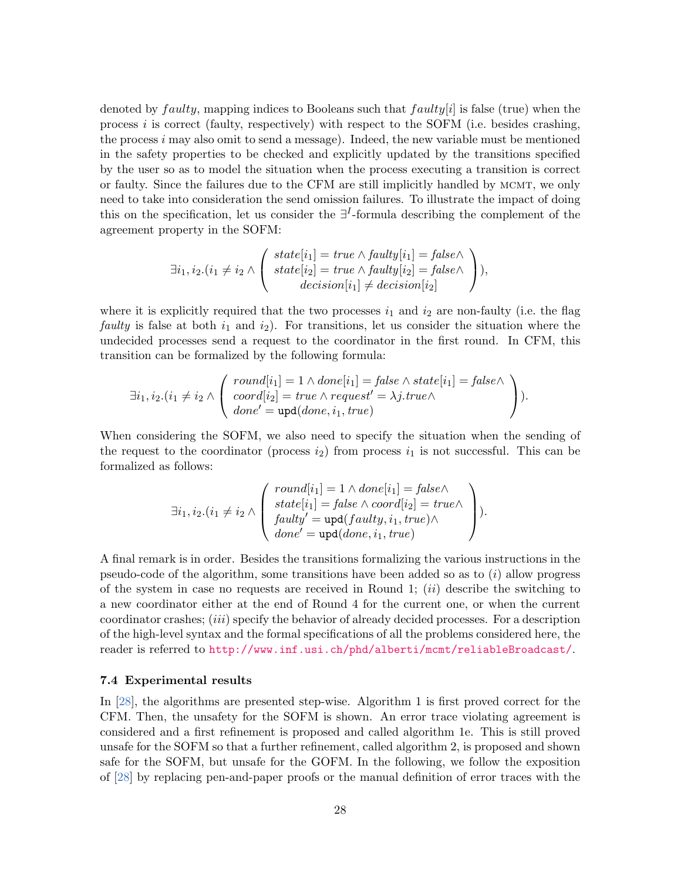denoted by faulty, mapping indices to Booleans such that faulty $[i]$  is false (true) when the process i is correct (faulty, respectively) with respect to the SOFM (i.e. besides crashing, the process  $i$  may also omit to send a message). Indeed, the new variable must be mentioned in the safety properties to be checked and explicitly updated by the transitions specified by the user so as to model the situation when the process executing a transition is correct or faulty. Since the failures due to the CFM are still implicitly handled by mcmt, we only need to take into consideration the send omission failures. To illustrate the impact of doing this on the specification, let us consider the  $\exists^{I}$ -formula describing the complement of the agreement property in the SOFM:

$$
\exists i_1, i_2. (i_1 \neq i_2 \land \begin{pmatrix} state[i_1] = true \land faulty[i_1] = false \land \\ state[i_2] = true \land faulty[i_2] = false \land \\ decision[i_1] \neq decision[i_2] \end{pmatrix}),
$$

where it is explicitly required that the two processes  $i_1$  and  $i_2$  are non-faulty (i.e. the flag faulty is false at both  $i_1$  and  $i_2$ ). For transitions, let us consider the situation where the undecided processes send a request to the coordinator in the first round. In CFM, this transition can be formalized by the following formula:

$$
\exists i_1, i_2. (i_1 \neq i_2 \land \begin{pmatrix} round[i_1] = 1 \land done[i_1] = false \land state[i_1] = false \land \\ coord[i_2] = true \land request' = \lambda j. true \land \\ done' = \text{upd}(done, i_1, true) \end{pmatrix}.
$$

When considering the SOFM, we also need to specify the situation when the sending of the request to the coordinator (process  $i_2$ ) from process  $i_1$  is not successful. This can be formalized as follows:

$$
\exists i_1, i_2. (i_1 \neq i_2 \land \begin{pmatrix} round[i_1] = 1 \land done[i_1] = false \land \\ state[i_1] = false \land coord[i_2] = true \land \\ faulty' = upd(faulty, i_1, true) \land \\ done' = upd(done, i_1, true)
$$

A final remark is in order. Besides the transitions formalizing the various instructions in the pseudo-code of the algorithm, some transitions have been added so as to  $(i)$  allow progress of the system in case no requests are received in Round 1;  $(ii)$  describe the switching to a new coordinator either at the end of Round 4 for the current one, or when the current coordinator crashes; *(iii)* specify the behavior of already decided processes. For a description of the high-level syntax and the formal specifications of all the problems considered here, the reader is referred to <http://www.inf.usi.ch/phd/alberti/mcmt/reliableBroadcast/>.

#### 7.4 Experimental results

In [\[28\]](#page-32-1), the algorithms are presented step-wise. Algorithm 1 is first proved correct for the CFM. Then, the unsafety for the SOFM is shown. An error trace violating agreement is considered and a first refinement is proposed and called algorithm 1e. This is still proved unsafe for the SOFM so that a further refinement, called algorithm 2, is proposed and shown safe for the SOFM, but unsafe for the GOFM. In the following, we follow the exposition of [\[28\]](#page-32-1) by replacing pen-and-paper proofs or the manual definition of error traces with the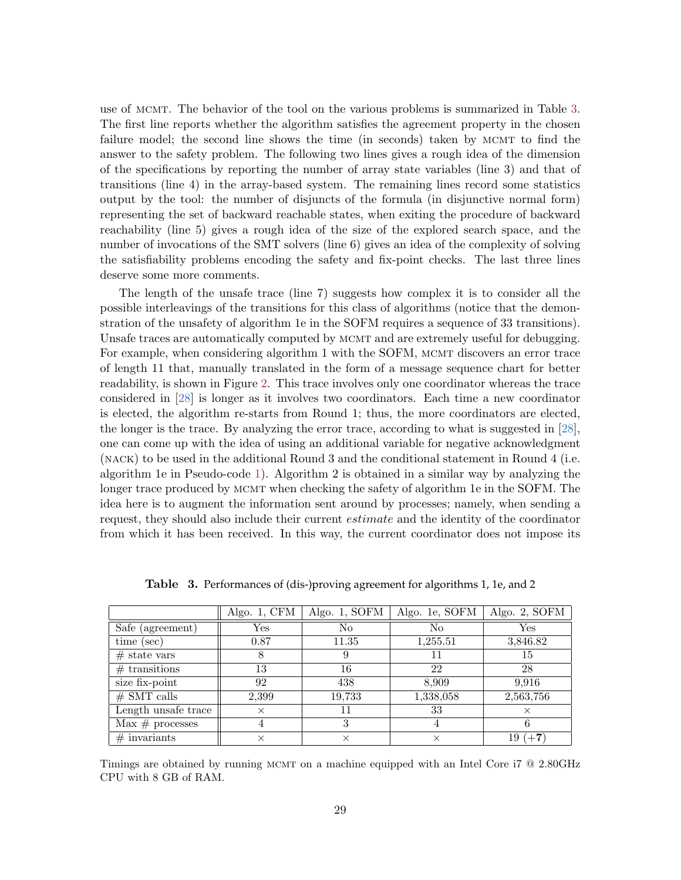use of mcmt. The behavior of the tool on the various problems is summarized in Table [3.](#page-28-0) The first line reports whether the algorithm satisfies the agreement property in the chosen failure model; the second line shows the time (in seconds) taken by MCMT to find the answer to the safety problem. The following two lines gives a rough idea of the dimension of the specifications by reporting the number of array state variables (line 3) and that of transitions (line 4) in the array-based system. The remaining lines record some statistics output by the tool: the number of disjuncts of the formula (in disjunctive normal form) representing the set of backward reachable states, when exiting the procedure of backward reachability (line 5) gives a rough idea of the size of the explored search space, and the number of invocations of the SMT solvers (line 6) gives an idea of the complexity of solving the satisfiability problems encoding the safety and fix-point checks. The last three lines deserve some more comments.

The length of the unsafe trace (line 7) suggests how complex it is to consider all the possible interleavings of the transitions for this class of algorithms (notice that the demonstration of the unsafety of algorithm 1e in the SOFM requires a sequence of 33 transitions). Unsafe traces are automatically computed by MCMT and are extremely useful for debugging. For example, when considering algorithm 1 with the SOFM, MCMT discovers an error trace of length 11 that, manually translated in the form of a message sequence chart for better readability, is shown in Figure [2.](#page-29-0) This trace involves only one coordinator whereas the trace considered in [\[28\]](#page-32-1) is longer as it involves two coordinators. Each time a new coordinator is elected, the algorithm re-starts from Round 1; thus, the more coordinators are elected, the longer is the trace. By analyzing the error trace, according to what is suggested in [\[28\]](#page-32-1), one can come up with the idea of using an additional variable for negative acknowledgment (nack) to be used in the additional Round 3 and the conditional statement in Round 4 (i.e. algorithm 1e in Pseudo-code [1\)](#page-23-0). Algorithm 2 is obtained in a similar way by analyzing the longer trace produced by MCMT when checking the safety of algorithm 1e in the SOFM. The idea here is to augment the information sent around by processes; namely, when sending a request, they should also include their current estimate and the identity of the coordinator from which it has been received. In this way, the current coordinator does not impose its

|                     | Algo. 1, CFM | Algo. 1, SOFM  | Algo. 1e, SOFM | Algo. 2, SOFM |
|---------------------|--------------|----------------|----------------|---------------|
| Safe (agreement)    | Yes          | N <sub>0</sub> | No             | Yes           |
| time (sec)          | 0.87         | 11.35          | 1,255.51       | 3,846.82      |
| $#$ state vars      |              | 9              |                | 15            |
| $#$ transitions     | 13           | 16             | 22             | 28            |
| size fix-point      | 92           | 438            | 8,909          | 9,916         |
| $# SMT$ calls       | 2,399        | 19,733         | 1,338,058      | 2,563,756     |
| Length unsafe trace | $\times$     | 11             | 33             | X             |
| $Max \# processes$  | 4            | 3              |                | 6             |
| $#$ invariants      | $\times$     | $\times$       | $\times$       | $19 (+7)$     |

<span id="page-28-0"></span>Table 3. Performances of (dis-)proving agreement for algorithms 1, 1e, and 2

Timings are obtained by running MCMT on a machine equipped with an Intel Core i7 @ 2.80GHz CPU with 8 GB of RAM.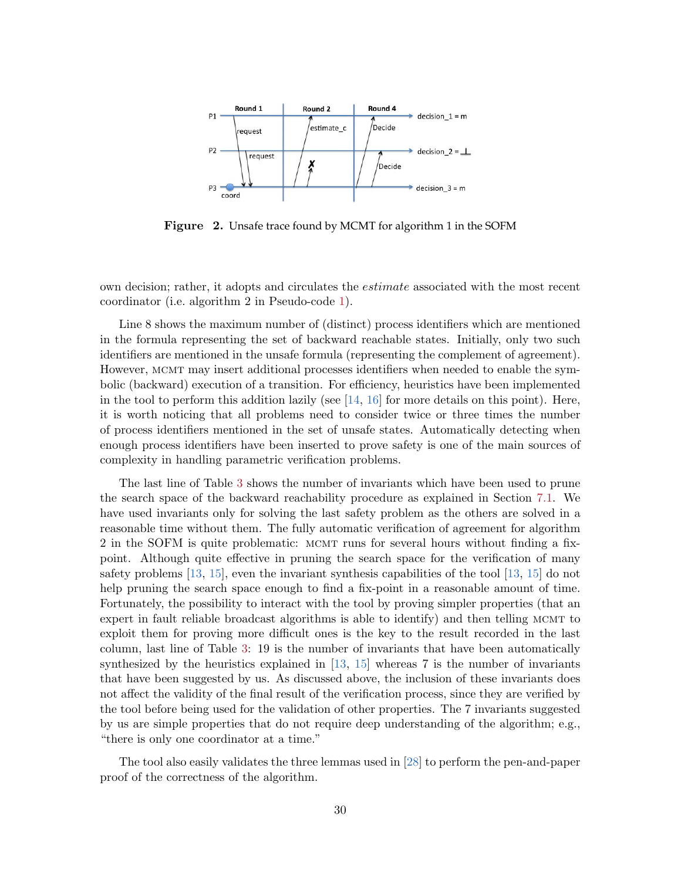

<span id="page-29-0"></span>Figure 2. Unsafe trace found by MCMT for algorithm 1 in the SOFM

own decision; rather, it adopts and circulates the estimate associated with the most recent coordinator (i.e. algorithm 2 in Pseudo-code [1\)](#page-23-0).

Line 8 shows the maximum number of (distinct) process identifiers which are mentioned in the formula representing the set of backward reachable states. Initially, only two such identifiers are mentioned in the unsafe formula (representing the complement of agreement). However, mcmt may insert additional processes identifiers when needed to enable the symbolic (backward) execution of a transition. For efficiency, heuristics have been implemented in the tool to perform this addition lazily (see  $[14, 16]$  $[14, 16]$  $[14, 16]$  for more details on this point). Here, it is worth noticing that all problems need to consider twice or three times the number of process identifiers mentioned in the set of unsafe states. Automatically detecting when enough process identifiers have been inserted to prove safety is one of the main sources of complexity in handling parametric verification problems.

The last line of Table [3](#page-28-0) shows the number of invariants which have been used to prune the search space of the backward reachability procedure as explained in Section [7.1.](#page-22-1) We have used invariants only for solving the last safety problem as the others are solved in a reasonable time without them. The fully automatic verification of agreement for algorithm 2 in the SOFM is quite problematic: MCMT runs for several hours without finding a fixpoint. Although quite effective in pruning the search space for the verification of many safety problems [\[13,](#page-31-2) [15\]](#page-31-0), even the invariant synthesis capabilities of the tool [\[13,](#page-31-2) [15\]](#page-31-0) do not help pruning the search space enough to find a fix-point in a reasonable amount of time. Fortunately, the possibility to interact with the tool by proving simpler properties (that an expert in fault reliable broadcast algorithms is able to identify) and then telling mcmt to exploit them for proving more difficult ones is the key to the result recorded in the last column, last line of Table [3:](#page-28-0) 19 is the number of invariants that have been automatically synthesized by the heuristics explained in [\[13,](#page-31-2) [15\]](#page-31-0) whereas 7 is the number of invariants that have been suggested by us. As discussed above, the inclusion of these invariants does not affect the validity of the final result of the verification process, since they are verified by the tool before being used for the validation of other properties. The 7 invariants suggested by us are simple properties that do not require deep understanding of the algorithm; e.g., "there is only one coordinator at a time."

The tool also easily validates the three lemmas used in [\[28\]](#page-32-1) to perform the pen-and-paper proof of the correctness of the algorithm.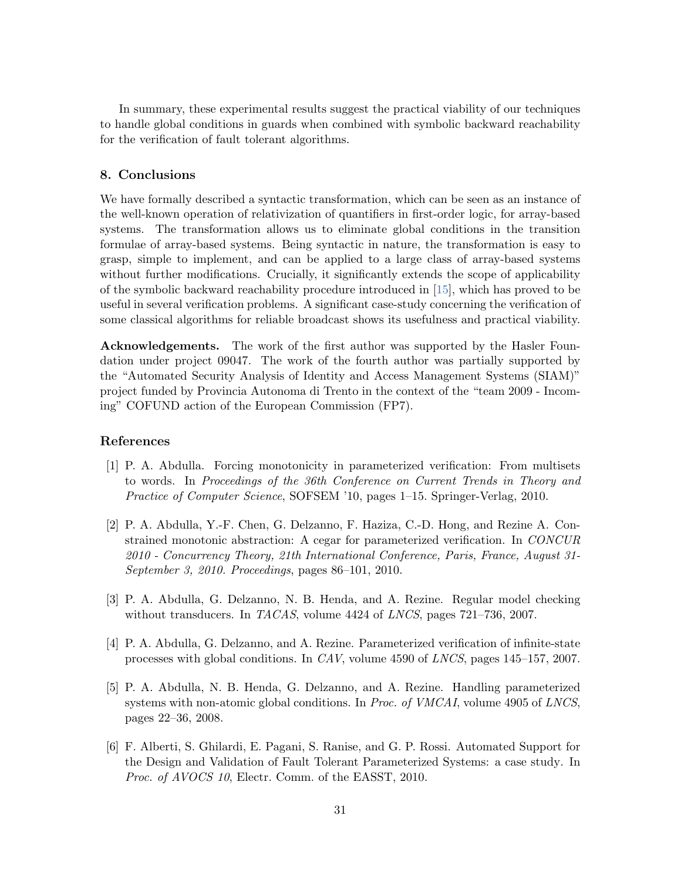In summary, these experimental results suggest the practical viability of our techniques to handle global conditions in guards when combined with symbolic backward reachability for the verification of fault tolerant algorithms.

## <span id="page-30-4"></span>8. Conclusions

We have formally described a syntactic transformation, which can be seen as an instance of the well-known operation of relativization of quantifiers in first-order logic, for array-based systems. The transformation allows us to eliminate global conditions in the transition formulae of array-based systems. Being syntactic in nature, the transformation is easy to grasp, simple to implement, and can be applied to a large class of array-based systems without further modifications. Crucially, it significantly extends the scope of applicability of the symbolic backward reachability procedure introduced in [\[15\]](#page-31-0), which has proved to be useful in several verification problems. A significant case-study concerning the verification of some classical algorithms for reliable broadcast shows its usefulness and practical viability.

Acknowledgements. The work of the first author was supported by the Hasler Foundation under project 09047. The work of the fourth author was partially supported by the "Automated Security Analysis of Identity and Access Management Systems (SIAM)" project funded by Provincia Autonoma di Trento in the context of the "team 2009 - Incoming" COFUND action of the European Commission (FP7).

## <span id="page-30-3"></span>References

- [1] P. A. Abdulla. Forcing monotonicity in parameterized verification: From multisets to words. In Proceedings of the 36th Conference on Current Trends in Theory and Practice of Computer Science, SOFSEM '10, pages 1–15. Springer-Verlag, 2010.
- <span id="page-30-6"></span>[2] P. A. Abdulla, Y.-F. Chen, G. Delzanno, F. Haziza, C.-D. Hong, and Rezine A. Constrained monotonic abstraction: A cegar for parameterized verification. In CONCUR 2010 - Concurrency Theory, 21th International Conference, Paris, France, August 31- September 3, 2010. Proceedings, pages 86–101, 2010.
- <span id="page-30-0"></span>[3] P. A. Abdulla, G. Delzanno, N. B. Henda, and A. Rezine. Regular model checking without transducers. In *TACAS*, volume 4424 of *LNCS*, pages 721–736, 2007.
- <span id="page-30-1"></span>[4] P. A. Abdulla, G. Delzanno, and A. Rezine. Parameterized verification of infinite-state processes with global conditions. In CAV, volume 4590 of LNCS, pages 145–157, 2007.
- <span id="page-30-2"></span>[5] P. A. Abdulla, N. B. Henda, G. Delzanno, and A. Rezine. Handling parameterized systems with non-atomic global conditions. In *Proc. of VMCAI*, volume 4905 of *LNCS*, pages 22–36, 2008.
- <span id="page-30-5"></span>[6] F. Alberti, S. Ghilardi, E. Pagani, S. Ranise, and G. P. Rossi. Automated Support for the Design and Validation of Fault Tolerant Parameterized Systems: a case study. In Proc. of AVOCS 10, Electr. Comm. of the EASST, 2010.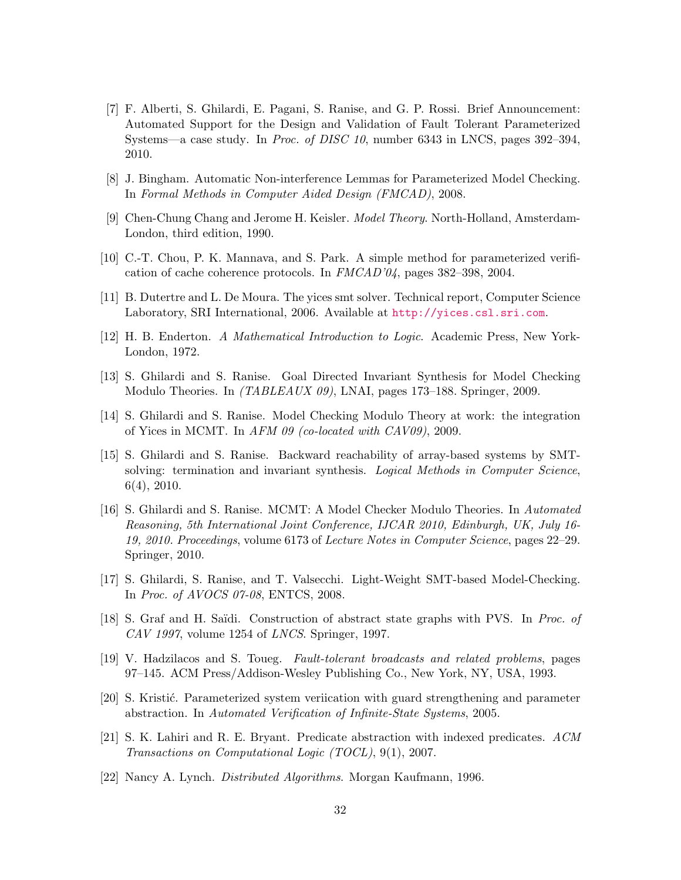- <span id="page-31-6"></span>[7] F. Alberti, S. Ghilardi, E. Pagani, S. Ranise, and G. P. Rossi. Brief Announcement: Automated Support for the Design and Validation of Fault Tolerant Parameterized Systems—a case study. In Proc. of DISC 10, number 6343 in LNCS, pages 392–394, 2010.
- <span id="page-31-12"></span>[8] J. Bingham. Automatic Non-interference Lemmas for Parameterized Model Checking. In Formal Methods in Computer Aided Design (FMCAD), 2008.
- <span id="page-31-7"></span>[9] Chen-Chung Chang and Jerome H. Keisler. Model Theory. North-Holland, Amsterdam-London, third edition, 1990.
- <span id="page-31-13"></span>[10] C.-T. Chou, P. K. Mannava, and S. Park. A simple method for parameterized verification of cache coherence protocols. In FMCAD'04, pages 382–398, 2004.
- <span id="page-31-14"></span>[11] B. Dutertre and L. De Moura. The yices smt solver. Technical report, Computer Science Laboratory, SRI International, 2006. Available at <http://yices.csl.sri.com>.
- <span id="page-31-5"></span>[12] H. B. Enderton. A Mathematical Introduction to Logic. Academic Press, New York-London, 1972.
- <span id="page-31-2"></span>[13] S. Ghilardi and S. Ranise. Goal Directed Invariant Synthesis for Model Checking Modulo Theories. In (TABLEAUX 09), LNAI, pages 173–188. Springer, 2009.
- <span id="page-31-15"></span>[14] S. Ghilardi and S. Ranise. Model Checking Modulo Theory at work: the integration of Yices in MCMT. In AFM 09 (co-located with CAV09), 2009.
- <span id="page-31-0"></span>[15] S. Ghilardi and S. Ranise. Backward reachability of array-based systems by SMTsolving: termination and invariant synthesis. Logical Methods in Computer Science, 6(4), 2010.
- <span id="page-31-3"></span>[16] S. Ghilardi and S. Ranise. MCMT: A Model Checker Modulo Theories. In Automated Reasoning, 5th International Joint Conference, IJCAR 2010, Edinburgh, UK, July 16- 19, 2010. Proceedings, volume 6173 of Lecture Notes in Computer Science, pages 22–29. Springer, 2010.
- <span id="page-31-1"></span>[17] S. Ghilardi, S. Ranise, and T. Valsecchi. Light-Weight SMT-based Model-Checking. In Proc. of AVOCS 07-08, ENTCS, 2008.
- <span id="page-31-9"></span>[18] S. Graf and H. Saïdi. Construction of abstract state graphs with PVS. In Proc. of CAV 1997, volume 1254 of LNCS. Springer, 1997.
- <span id="page-31-8"></span>[19] V. Hadzilacos and S. Toueg. Fault-tolerant broadcasts and related problems, pages 97–145. ACM Press/Addison-Wesley Publishing Co., New York, NY, USA, 1993.
- <span id="page-31-11"></span>[20] S. Kristić. Parameterized system veriication with guard strengthening and parameter abstraction. In Automated Verification of Infinite-State Systems, 2005.
- <span id="page-31-10"></span>[21] S. K. Lahiri and R. E. Bryant. Predicate abstraction with indexed predicates. ACM Transactions on Computational Logic (TOCL), 9(1), 2007.
- <span id="page-31-4"></span>[22] Nancy A. Lynch. Distributed Algorithms. Morgan Kaufmann, 1996.